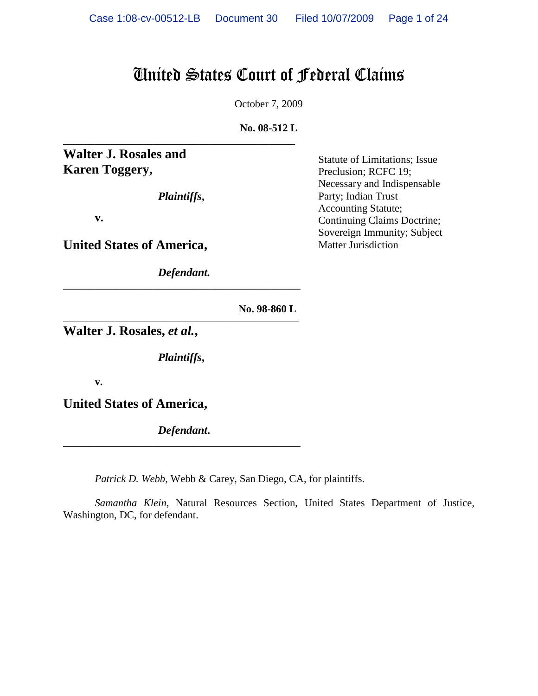# United States Court of Federal Claims

October 7, 2009

**No. 08-512 L**

**Walter J. Rosales and Karen Toggery,**

*Plaintiffs***,**

\_\_\_\_\_\_\_\_\_\_\_\_\_\_\_\_\_\_\_\_\_\_\_\_\_\_\_\_\_\_\_\_\_\_\_\_\_\_\_\_\_\_\_\_

**v.**

**United States of America,**

*Defendant.* \_\_\_\_\_\_\_\_\_\_\_\_\_\_\_\_\_\_\_\_\_\_\_\_\_\_\_\_\_\_\_\_\_\_\_\_\_\_\_\_\_\_\_\_\_

Statute of Limitations; Issue Preclusion; RCFC 19; Necessary and Indispensable Party; Indian Trust Accounting Statute; Continuing Claims Doctrine; Sovereign Immunity; Subject Matter Jurisdiction

 **No. 98-860 L**

**Walter J. Rosales,** *et al.***,**

*Plaintiffs***,**

\_\_\_\_\_\_\_\_\_\_\_\_\_\_\_\_\_\_\_\_\_\_\_\_\_\_\_\_\_\_\_\_\_\_\_\_\_\_\_\_\_\_\_\_\_\_\_\_\_\_\_\_\_\_\_\_\_\_\_\_\_\_\_\_\_\_\_

**v.**

**United States of America,**

*Defendant***.** \_\_\_\_\_\_\_\_\_\_\_\_\_\_\_\_\_\_\_\_\_\_\_\_\_\_\_\_\_\_\_\_\_\_\_\_\_\_\_\_\_\_\_\_\_

*Patrick D. Webb*, Webb & Carey, San Diego, CA, for plaintiffs.

*Samantha Klein*, Natural Resources Section, United States Department of Justice, Washington, DC, for defendant.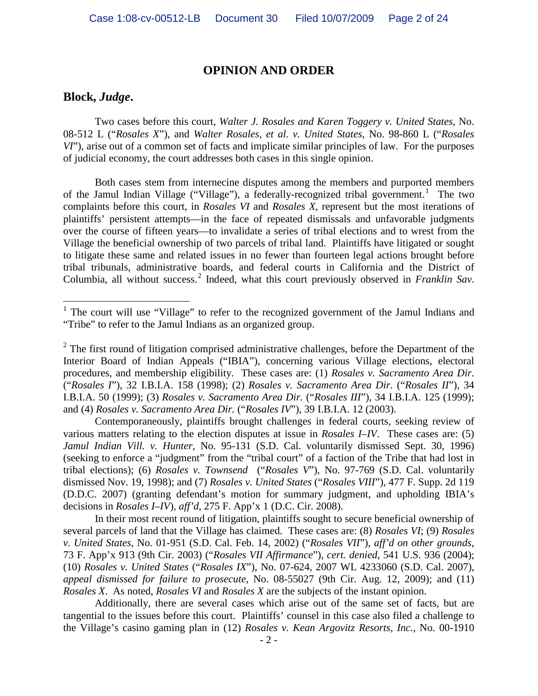### **OPINION AND ORDER**

## **Block,** *Judge***.**

Two cases before this court, *Walter J. Rosales and Karen Toggery v. United States*, No. 08-512 L ("*Rosales X*"), and *Walter Rosales, et al. v. United States*, No. 98-860 L ("*Rosales VI*"), arise out of a common set of facts and implicate similar principles of law. For the purposes of judicial economy, the court addresses both cases in this single opinion.

Both cases stem from internecine disputes among the members and purported members of the Jamul Indian Village ("Village"), a federally-recognized tribal government.<sup>[1](#page-1-0)</sup> The two complaints before this court, in *Rosales VI* and *Rosales X*, represent but the most iterations of plaintiffs' persistent attempts—in the face of repeated dismissals and unfavorable judgments over the course of fifteen years—to invalidate a series of tribal elections and to wrest from the Village the beneficial ownership of two parcels of tribal land. Plaintiffs have litigated or sought to litigate these same and related issues in no fewer than fourteen legal actions brought before tribal tribunals, administrative boards, and federal courts in California and the District of Columbia, all without success.<sup>[2](#page-1-1)</sup> Indeed, what this court previously observed in *Franklin Sav*.

Contemporaneously, plaintiffs brought challenges in federal courts, seeking review of various matters relating to the election disputes at issue in *Rosales I–IV*. These cases are: (5) *Jamul Indian Vill. v. Hunter*, No. 95-131 (S.D. Cal. voluntarily dismissed Sept. 30, 1996) (seeking to enforce a "judgment" from the "tribal court" of a faction of the Tribe that had lost in tribal elections); (6) *Rosales v. Townsend* ("*Rosales V*"), No. 97-769 (S.D. Cal. voluntarily dismissed Nov. 19, 1998); and (7) *Rosales v. United States* ("*Rosales VIII*"), 477 F. Supp. 2d 119 (D.D.C. 2007) (granting defendant's motion for summary judgment, and upholding IBIA's decisions in *Rosales I–IV*), *aff'd*, 275 F. App'x 1 (D.C. Cir. 2008).

In their most recent round of litigation, plaintiffs sought to secure beneficial ownership of several parcels of land that the Village has claimed. These cases are: (8) *Rosales VI*; (9) *Rosales v. United States*, No. 01-951 (S.D. Cal. Feb. 14, 2002) ("*Rosales VII*"), *aff'd on other grounds*, 73 F. App'x 913 (9th Cir. 2003) ("*Rosales VII Affirmance*"), *cert. denied*, 541 U.S. 936 (2004); (10) *Rosales v. United States* ("*Rosales IX*"), No. 07-624, 2007 WL 4233060 (S.D. Cal. 2007), *appeal dismissed for failure to prosecute*, No. 08-55027 (9th Cir. Aug. 12, 2009); and (11) *Rosales X*. As noted, *Rosales VI* and *Rosales X* are the subjects of the instant opinion.

Additionally, there are several cases which arise out of the same set of facts, but are tangential to the issues before this court. Plaintiffs' counsel in this case also filed a challenge to the Village's casino gaming plan in (12) *Rosales v. Kean Argovitz Resorts, Inc.*, No. 00-1910

<span id="page-1-0"></span><sup>&</sup>lt;sup>1</sup> The court will use "Village" to refer to the recognized government of the Jamul Indians and "Tribe" to refer to the Jamul Indians as an organized group.

<span id="page-1-1"></span> $2^2$  The first round of litigation comprised administrative challenges, before the Department of the Interior Board of Indian Appeals ("IBIA"), concerning various Village elections, electoral procedures, and membership eligibility. These cases are: (1) *Rosales v. Sacramento Area Dir.* ("*Rosales I*"), 32 I.B.I.A. 158 (1998); (2) *Rosales v. Sacramento Area Dir.* ("*Rosales II*"), 34 I.B.I.A. 50 (1999); (3) *Rosales v. Sacramento Area Dir.* ("*Rosales III*"), 34 I.B.I.A. 125 (1999); and (4) *Rosales v. Sacramento Area Dir.* ("*Rosales IV*"), 39 I.B.I.A. 12 (2003).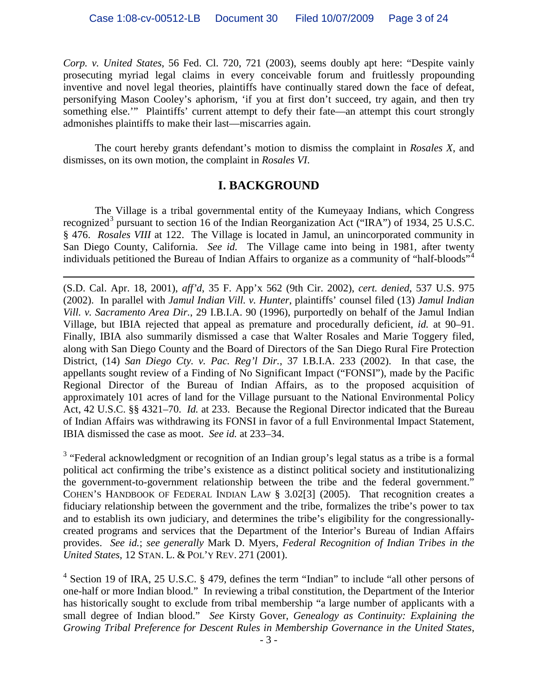*Corp. v. United States*, 56 Fed. Cl. 720, 721 (2003), seems doubly apt here: "Despite vainly prosecuting myriad legal claims in every conceivable forum and fruitlessly propounding inventive and novel legal theories, plaintiffs have continually stared down the face of defeat, personifying Mason Cooley's aphorism, 'if you at first don't succeed, try again, and then try something else."" Plaintiffs' current attempt to defy their fate—an attempt this court strongly admonishes plaintiffs to make their last—miscarries again.

The court hereby grants defendant's motion to dismiss the complaint in *Rosales X*, and dismisses, on its own motion, the complaint in *Rosales VI*.

# **I. BACKGROUND**

The Village is a tribal governmental entity of the Kumeyaay Indians, which Congress recognized<sup>[3](#page-2-0)</sup> pursuant to section 16 of the Indian Reorganization Act ("IRA") of 1934, 25 U.S.C. § 476. *Rosales VIII* at 122. The Village is located in Jamul, an unincorporated community in San Diego County, California. *See id.* The Village came into being in 1981, after twenty individuals petitioned the Bureau of Indian Affairs to organize as a community of "half-bloods"[4](#page-2-1)

 $\overline{a}$ (S.D. Cal. Apr. 18, 2001), *aff'd*, 35 F. App'x 562 (9th Cir. 2002), *cert. denied*, 537 U.S. 975 (2002). In parallel with *Jamul Indian Vill. v. Hunter*, plaintiffs' counsel filed (13) *Jamul Indian Vill. v. Sacramento Area Dir.*, 29 I.B.I.A. 90 (1996), purportedly on behalf of the Jamul Indian Village, but IBIA rejected that appeal as premature and procedurally deficient, *id.* at 90–91. Finally, IBIA also summarily dismissed a case that Walter Rosales and Marie Toggery filed, along with San Diego County and the Board of Directors of the San Diego Rural Fire Protection District, (14) *San Diego Cty. v. Pac. Reg'l Dir.*, 37 I.B.I.A. 233 (2002). In that case, the appellants sought review of a Finding of No Significant Impact ("FONSI"), made by the Pacific Regional Director of the Bureau of Indian Affairs, as to the proposed acquisition of approximately 101 acres of land for the Village pursuant to the National Environmental Policy Act, 42 U.S.C. §§ 4321–70. *Id.* at 233. Because the Regional Director indicated that the Bureau of Indian Affairs was withdrawing its FONSI in favor of a full Environmental Impact Statement, IBIA dismissed the case as moot. *See id.* at 233–34.

<span id="page-2-0"></span><sup>3</sup> "Federal acknowledgment or recognition of an Indian group's legal status as a tribe is a formal political act confirming the tribe's existence as a distinct political society and institutionalizing the government-to-government relationship between the tribe and the federal government." COHEN'S HANDBOOK OF FEDERAL INDIAN LAW § 3.02[3] (2005). That recognition creates a fiduciary relationship between the government and the tribe, formalizes the tribe's power to tax and to establish its own judiciary, and determines the tribe's eligibility for the congressionallycreated programs and services that the Department of the Interior's Bureau of Indian Affairs provides. *See id.*; *see generally* Mark D. Myers, *Federal Recognition of Indian Tribes in the United States*, 12 STAN. L. & POL'Y REV. 271 (2001).

<span id="page-2-1"></span> $4$  Section 19 of IRA, 25 U.S.C. § 479, defines the term "Indian" to include "all other persons of one-half or more Indian blood." In reviewing a tribal constitution, the Department of the Interior has historically sought to exclude from tribal membership "a large number of applicants with a small degree of Indian blood." *See* Kirsty Gover, *Genealogy as Continuity: Explaining the Growing Tribal Preference for Descent Rules in Membership Governance in the United States*,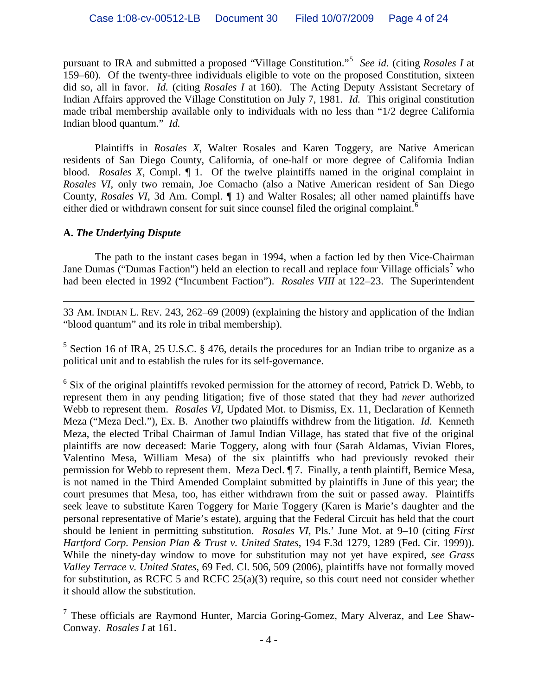pursuant to IRA and submitted a proposed "Village Constitution."[5](#page-3-0) *See id.* (citing *Rosales I* at 159–60). Of the twenty-three individuals eligible to vote on the proposed Constitution, sixteen did so, all in favor. *Id.* (citing *Rosales I* at 160). The Acting Deputy Assistant Secretary of Indian Affairs approved the Village Constitution on July 7, 1981. *Id.* This original constitution made tribal membership available only to individuals with no less than "1/2 degree California Indian blood quantum." *Id.*

Plaintiffs in *Rosales X*, Walter Rosales and Karen Toggery, are Native American residents of San Diego County, California, of one-half or more degree of California Indian blood. *Rosales X*, Compl. ¶ 1. Of the twelve plaintiffs named in the original complaint in *Rosales VI*, only two remain, Joe Comacho (also a Native American resident of San Diego County, *Rosales VI*, 3d Am. Compl. ¶ 1) and Walter Rosales; all other named plaintiffs have either died or withdrawn consent for suit since counsel filed the original complaint.<sup>[6](#page-3-1)</sup>

## **A.** *The Underlying Dispute*

The path to the instant cases began in 1994, when a faction led by then Vice-Chairman Jane Dumas ("Dumas Faction") held an election to recall and replace four Village officials<sup>[7](#page-3-2)</sup> who had been elected in 1992 ("Incumbent Faction"). *Rosales VIII* at 122–23. The Superintendent

 $\overline{a}$ 33 AM. INDIAN L. REV. 243, 262–69 (2009) (explaining the history and application of the Indian "blood quantum" and its role in tribal membership).

<span id="page-3-0"></span> $5$  Section 16 of IRA, 25 U.S.C. § 476, details the procedures for an Indian tribe to organize as a political unit and to establish the rules for its self-governance.

<span id="page-3-1"></span> $6$  Six of the original plaintiffs revoked permission for the attorney of record, Patrick D. Webb, to represent them in any pending litigation; five of those stated that they had *never* authorized Webb to represent them. *Rosales VI*, Updated Mot. to Dismiss, Ex. 11, Declaration of Kenneth Meza ("Meza Decl."), Ex. B. Another two plaintiffs withdrew from the litigation. *Id.* Kenneth Meza, the elected Tribal Chairman of Jamul Indian Village, has stated that five of the original plaintiffs are now deceased: Marie Toggery, along with four (Sarah Aldamas, Vivian Flores, Valentino Mesa, William Mesa) of the six plaintiffs who had previously revoked their permission for Webb to represent them. Meza Decl. ¶ 7. Finally, a tenth plaintiff, Bernice Mesa, is not named in the Third Amended Complaint submitted by plaintiffs in June of this year; the court presumes that Mesa, too, has either withdrawn from the suit or passed away. Plaintiffs seek leave to substitute Karen Toggery for Marie Toggery (Karen is Marie's daughter and the personal representative of Marie's estate), arguing that the Federal Circuit has held that the court should be lenient in permitting substitution. *Rosales VI*, Pls.' June Mot. at 9–10 (citing *First Hartford Corp. Pension Plan & Trust v. United States*, 194 F.3d 1279, 1289 (Fed. Cir. 1999)). While the ninety-day window to move for substitution may not yet have expired, *see Grass Valley Terrace v. United States*, 69 Fed. Cl. 506, 509 (2006), plaintiffs have not formally moved for substitution, as RCFC 5 and RCFC  $25(a)(3)$  require, so this court need not consider whether it should allow the substitution.

<span id="page-3-2"></span> $<sup>7</sup>$  These officials are Raymond Hunter, Marcia Goring-Gomez, Mary Alveraz, and Lee Shaw-</sup> Conway. *Rosales I* at 161.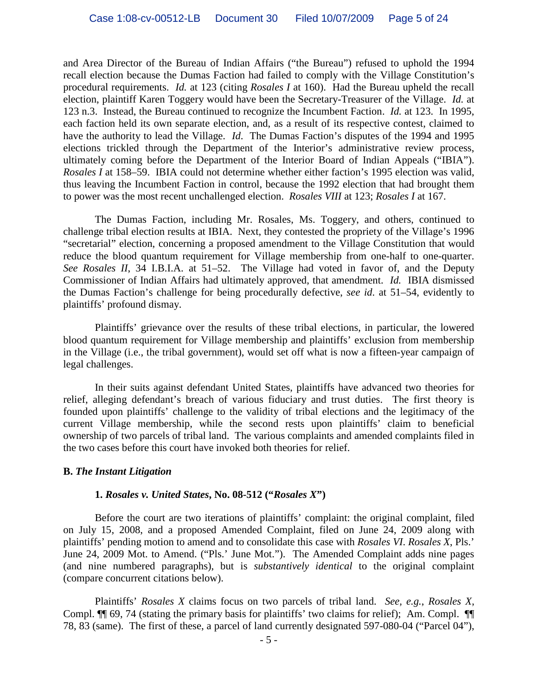and Area Director of the Bureau of Indian Affairs ("the Bureau") refused to uphold the 1994 recall election because the Dumas Faction had failed to comply with the Village Constitution's procedural requirements. *Id.* at 123 (citing *Rosales I* at 160). Had the Bureau upheld the recall election, plaintiff Karen Toggery would have been the Secretary-Treasurer of the Village. *Id.* at 123 n.3. Instead, the Bureau continued to recognize the Incumbent Faction. *Id.* at 123. In 1995, each faction held its own separate election, and, as a result of its respective contest, claimed to have the authority to lead the Village. *Id*. The Dumas Faction's disputes of the 1994 and 1995 elections trickled through the Department of the Interior's administrative review process, ultimately coming before the Department of the Interior Board of Indian Appeals ("IBIA"). *Rosales I* at 158–59. IBIA could not determine whether either faction's 1995 election was valid, thus leaving the Incumbent Faction in control, because the 1992 election that had brought them to power was the most recent unchallenged election. *Rosales VIII* at 123; *Rosales I* at 167.

The Dumas Faction, including Mr. Rosales, Ms. Toggery, and others, continued to challenge tribal election results at IBIA. Next, they contested the propriety of the Village's 1996 "secretarial" election, concerning a proposed amendment to the Village Constitution that would reduce the blood quantum requirement for Village membership from one-half to one-quarter. *See Rosales II*, 34 I.B.I.A. at 51–52. The Village had voted in favor of, and the Deputy Commissioner of Indian Affairs had ultimately approved, that amendment. *Id.* IBIA dismissed the Dumas Faction's challenge for being procedurally defective, *see id*. at 51–54, evidently to plaintiffs' profound dismay.

Plaintiffs' grievance over the results of these tribal elections, in particular, the lowered blood quantum requirement for Village membership and plaintiffs' exclusion from membership in the Village (i.e., the tribal government), would set off what is now a fifteen-year campaign of legal challenges.

In their suits against defendant United States, plaintiffs have advanced two theories for relief, alleging defendant's breach of various fiduciary and trust duties. The first theory is founded upon plaintiffs' challenge to the validity of tribal elections and the legitimacy of the current Village membership, while the second rests upon plaintiffs' claim to beneficial ownership of two parcels of tribal land. The various complaints and amended complaints filed in the two cases before this court have invoked both theories for relief.

#### **B.** *The Instant Litigation*

#### **1.** *Rosales v. United States***, No. 08-512 ("***Rosales X***")**

Before the court are two iterations of plaintiffs' complaint: the original complaint, filed on July 15, 2008, and a proposed Amended Complaint, filed on June 24, 2009 along with plaintiffs' pending motion to amend and to consolidate this case with *Rosales VI*. *Rosales X*, Pls.' June 24, 2009 Mot. to Amend. ("Pls.' June Mot."). The Amended Complaint adds nine pages (and nine numbered paragraphs), but is *substantively identical* to the original complaint (compare concurrent citations below).

Plaintiffs' *Rosales X* claims focus on two parcels of tribal land. *See, e.g.*, *Rosales X*, Compl. ¶¶ 69, 74 (stating the primary basis for plaintiffs' two claims for relief); Am. Compl. ¶¶ 78, 83 (same). The first of these, a parcel of land currently designated 597-080-04 ("Parcel 04"),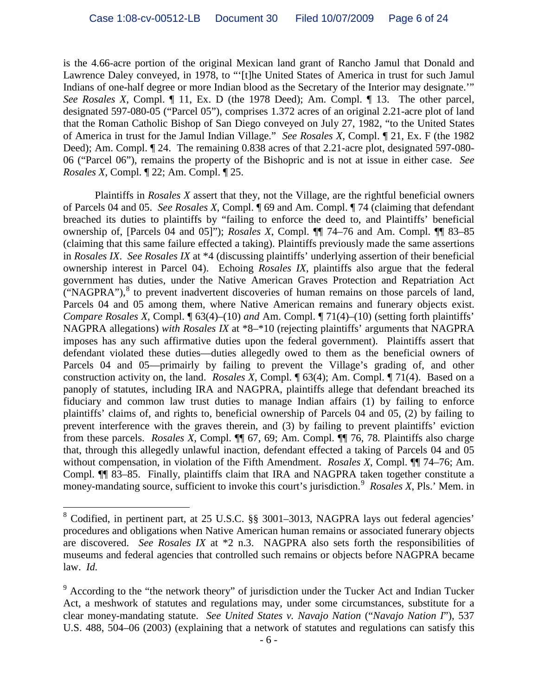is the 4.66-acre portion of the original Mexican land grant of Rancho Jamul that Donald and Lawrence Daley conveyed, in 1978, to "'[t]he United States of America in trust for such Jamul Indians of one-half degree or more Indian blood as the Secretary of the Interior may designate.'" *See Rosales X*, Compl. ¶ 11, Ex. D (the 1978 Deed); Am. Compl. ¶ 13. The other parcel, designated 597-080-05 ("Parcel 05"), comprises 1.372 acres of an original 2.21-acre plot of land that the Roman Catholic Bishop of San Diego conveyed on July 27, 1982, "to the United States of America in trust for the Jamul Indian Village." *See Rosales X*, Compl. ¶ 21, Ex. F (the 1982 Deed); Am. Compl. ¶ 24. The remaining 0.838 acres of that 2.21-acre plot, designated 597-080- 06 ("Parcel 06"), remains the property of the Bishopric and is not at issue in either case. *See Rosales X*, Compl. ¶ 22; Am. Compl. ¶ 25.

Plaintiffs in *Rosales X* assert that they, not the Village, are the rightful beneficial owners of Parcels 04 and 05. *See Rosales X*, Compl. ¶ 69 and Am. Compl. ¶ 74 (claiming that defendant breached its duties to plaintiffs by "failing to enforce the deed to, and Plaintiffs' beneficial ownership of, [Parcels 04 and 05]"); *Rosales X*, Compl. ¶¶ 74–76 and Am. Compl. ¶¶ 83–85 (claiming that this same failure effected a taking). Plaintiffs previously made the same assertions in *Rosales IX*. *See Rosales IX* at \*4 (discussing plaintiffs' underlying assertion of their beneficial ownership interest in Parcel 04). Echoing *Rosales IX*, plaintiffs also argue that the federal government has duties, under the Native American Graves Protection and Repatriation Act ("NAGPRA"), $<sup>8</sup>$  $<sup>8</sup>$  $<sup>8</sup>$  to prevent inadvertent discoveries of human remains on those parcels of land,</sup> Parcels 04 and 05 among them, where Native American remains and funerary objects exist. *Compare Rosales X*, Compl. ¶ 63(4)–(10) *and* Am. Compl. ¶ 71(4)–(10) (setting forth plaintiffs' NAGPRA allegations) *with Rosales IX* at \*8–\*10 (rejecting plaintiffs' arguments that NAGPRA imposes has any such affirmative duties upon the federal government). Plaintiffs assert that defendant violated these duties—duties allegedly owed to them as the beneficial owners of Parcels 04 and 05—primairly by failing to prevent the Village's grading of, and other construction activity on, the land. *Rosales X*, Compl. ¶ 63(4); Am. Compl. ¶ 71(4). Based on a panoply of statutes, including IRA and NAGPRA, plaintiffs allege that defendant breached its fiduciary and common law trust duties to manage Indian affairs (1) by failing to enforce plaintiffs' claims of, and rights to, beneficial ownership of Parcels 04 and 05, (2) by failing to prevent interference with the graves therein, and (3) by failing to prevent plaintiffs' eviction from these parcels. *Rosales X*, Compl. ¶¶ 67, 69; Am. Compl. ¶¶ 76, 78*.* Plaintiffs also charge that, through this allegedly unlawful inaction, defendant effected a taking of Parcels 04 and 05 without compensation, in violation of the Fifth Amendment. *Rosales X*, Compl. ¶¶ 74–76; Am. Compl. ¶¶ 83–85. Finally, plaintiffs claim that IRA and NAGPRA taken together constitute a money-mandating source, sufficient to invoke this court's jurisdiction.<sup>[9](#page-5-1)</sup> Rosales X, Pls.' Mem. in

<span id="page-5-0"></span> <sup>8</sup> Codified, in pertinent part, at 25 U.S.C. §§ 3001*–*3013, NAGPRA lays out federal agencies' procedures and obligations when Native American human remains or associated funerary objects are discovered. *See Rosales IX* at \*2 n.3. NAGPRA also sets forth the responsibilities of museums and federal agencies that controlled such remains or objects before NAGPRA became law. *Id.*

<span id="page-5-1"></span> $9$  According to the "the network theory" of jurisdiction under the Tucker Act and Indian Tucker Act, a meshwork of statutes and regulations may, under some circumstances, substitute for a clear money-mandating statute. *See United States v. Navajo Nation* ("*Navajo Nation I*"), 537 U.S. 488, 504–06 (2003) (explaining that a network of statutes and regulations can satisfy this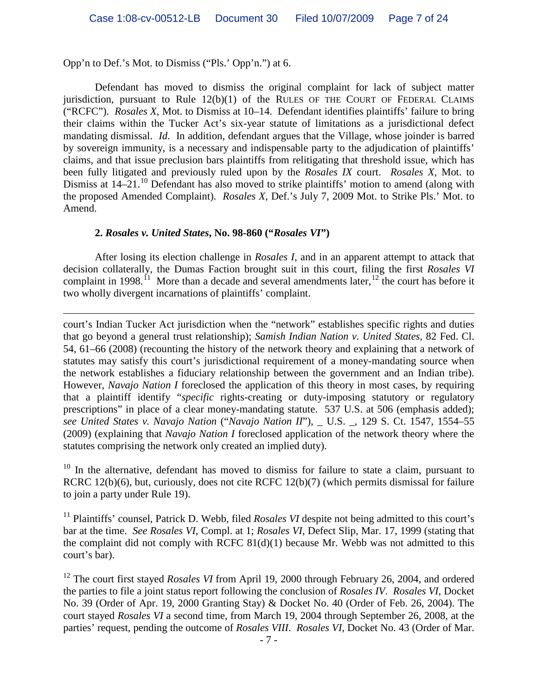Opp'n to Def.'s Mot. to Dismiss ("Pls.' Opp'n.") at 6.

 $\overline{a}$ 

Defendant has moved to dismiss the original complaint for lack of subject matter jurisdiction, pursuant to Rule  $12(b)(1)$  of the RULES OF THE COURT OF FEDERAL CLAIMS ("RCFC"). *Rosales X*, Mot. to Dismiss at 10–14. Defendant identifies plaintiffs' failure to bring their claims within the Tucker Act's six-year statute of limitations as a jurisdictional defect mandating dismissal. *Id*. In addition, defendant argues that the Village, whose joinder is barred by sovereign immunity, is a necessary and indispensable party to the adjudication of plaintiffs' claims, and that issue preclusion bars plaintiffs from relitigating that threshold issue, which has been fully litigated and previously ruled upon by the *Rosales IX* court. *Rosales X*, Mot. to Dismiss at 14–21.<sup>[10](#page-6-0)</sup> Defendant has also moved to strike plaintiffs' motion to amend (along with the proposed Amended Complaint). *Rosales X*, Def.'s July 7, 2009 Mot. to Strike Pls.' Mot. to Amend.

#### **2.** *Rosales v. United States***, No. 98-860 ("***Rosales VI***")**

After losing its election challenge in *Rosales I*, and in an apparent attempt to attack that decision collaterally, the Dumas Faction brought suit in this court, filing the first *Rosales VI* complaint in 1998.<sup> $11$ </sup> More than a decade and several amendments later,  $12$  the court has before it two wholly divergent incarnations of plaintiffs' complaint.

court's Indian Tucker Act jurisdiction when the "network" establishes specific rights and duties that go beyond a general trust relationship); *Samish Indian Nation v. United States*, 82 Fed. Cl. 54, 61–66 (2008) (recounting the history of the network theory and explaining that a network of statutes may satisfy this court's jurisdictional requirement of a money-mandating source when the network establishes a fiduciary relationship between the government and an Indian tribe). However, *Navajo Nation I* foreclosed the application of this theory in most cases, by requiring that a plaintiff identify "*specific* rights-creating or duty-imposing statutory or regulatory prescriptions" in place of a clear money-mandating statute. 537 U.S. at 506 (emphasis added); *see United States v. Navajo Nation* ("*Navajo Nation II*"), \_ U.S. \_, 129 S. Ct. 1547, 1554–55 (2009) (explaining that *Navajo Nation I* foreclosed application of the network theory where the statutes comprising the network only created an implied duty).

<span id="page-6-0"></span> $10$  In the alternative, defendant has moved to dismiss for failure to state a claim, pursuant to RCRC 12(b)(6), but, curiously, does not cite RCFC 12(b)(7) (which permits dismissal for failure to join a party under Rule 19).

<span id="page-6-1"></span><sup>11</sup> Plaintiffs' counsel, Patrick D. Webb, filed *Rosales VI* despite not being admitted to this court's bar at the time. *See Rosales VI*, Compl. at 1; *Rosales VI*, Defect Slip, Mar. 17, 1999 (stating that the complaint did not comply with RCFC 81(d)(1) because Mr. Webb was not admitted to this court's bar).

<span id="page-6-2"></span><sup>12</sup> The court first stayed *Rosales VI* from April 19, 2000 through February 26, 2004, and ordered the parties to file a joint status report following the conclusion of *Rosales IV*. *Rosales VI*, Docket No. 39 (Order of Apr. 19, 2000 Granting Stay) & Docket No. 40 (Order of Feb. 26, 2004). The court stayed *Rosales VI* a second time, from March 19, 2004 through September 26, 2008, at the parties' request, pending the outcome of *Rosales VIII*. *Rosales VI*, Docket No. 43 (Order of Mar.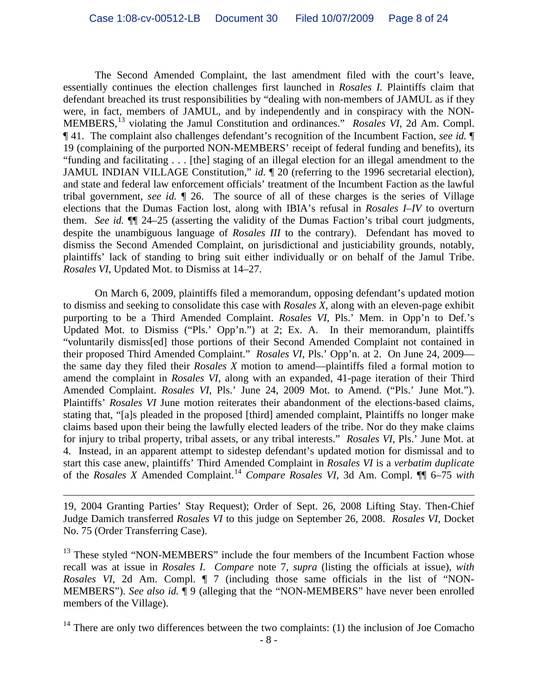The Second Amended Complaint, the last amendment filed with the court's leave, essentially continues the election challenges first launched in *Rosales I.* Plaintiffs claim that defendant breached its trust responsibilities by "dealing with non-members of JAMUL as if they were, in fact, members of JAMUL, and by independently and in conspiracy with the NON-MEMBERS,[13](#page-7-0) violating the Jamul Constitution and ordinances." *Rosales VI*, 2d Am. Compl. ¶ 41. The complaint also challenges defendant's recognition of the Incumbent Faction, *see id.* ¶ 19 (complaining of the purported NON-MEMBERS' receipt of federal funding and benefits), its "funding and facilitating . . . [the] staging of an illegal election for an illegal amendment to the JAMUL INDIAN VILLAGE Constitution," *id.*  $\sqrt{20}$  (referring to the 1996 secretarial election), and state and federal law enforcement officials' treatment of the Incumbent Faction as the lawful tribal government, *see id.* ¶ 26. The source of all of these charges is the series of Village elections that the Dumas Faction lost, along with IBIA's refusal in *Rosales I–IV* to overturn them. *See id.* ¶¶ 24–25 (asserting the validity of the Dumas Faction's tribal court judgments, despite the unambiguous language of *Rosales III* to the contrary). Defendant has moved to dismiss the Second Amended Complaint, on jurisdictional and justiciability grounds, notably, plaintiffs' lack of standing to bring suit either individually or on behalf of the Jamul Tribe. *Rosales VI*, Updated Mot. to Dismiss at 14–27.

On March 6, 2009, plaintiffs filed a memorandum, opposing defendant's updated motion to dismiss and seeking to consolidate this case with *Rosales X*, along with an eleven-page exhibit purporting to be a Third Amended Complaint. *Rosales VI*, Pls.' Mem. in Opp'n to Def.'s Updated Mot. to Dismiss ("Pls.' Opp'n.") at 2; Ex. A. In their memorandum, plaintiffs "voluntarily dismiss[ed] those portions of their Second Amended Complaint not contained in their proposed Third Amended Complaint." *Rosales VI*, Pls.' Opp'n. at 2. On June 24, 2009 the same day they filed their *Rosales X* motion to amend—plaintiffs filed a formal motion to amend the complaint in *Rosales VI*, along with an expanded, 41-page iteration of their Third Amended Complaint. *Rosales VI*, Pls.' June 24, 2009 Mot. to Amend. ("Pls.' June Mot."). Plaintiffs' *Rosales VI* June motion reiterates their abandonment of the elections-based claims, stating that, "[a]s pleaded in the proposed [third] amended complaint, Plaintiffs no longer make claims based upon their being the lawfully elected leaders of the tribe. Nor do they make claims for injury to tribal property, tribal assets, or any tribal interests." *Rosales VI*, Pls.' June Mot. at 4. Instead, in an apparent attempt to sidestep defendant's updated motion for dismissal and to start this case anew, plaintiffs' Third Amended Complaint in *Rosales VI* is a *verbatim duplicate* of the *Rosales X* Amended Complaint. [14](#page-7-1) *Compare Rosales VI*, 3d Am. Compl. ¶¶ 6–75 *with*

19, 2004 Granting Parties' Stay Request); Order of Sept. 26, 2008 Lifting Stay. Then-Chief Judge Damich transferred *Rosales VI* to this judge on September 26, 2008. *Rosales VI*, Docket No. 75 (Order Transferring Case).

 $\overline{a}$ 

<span id="page-7-0"></span><sup>13</sup> These styled "NON-MEMBERS" include the four members of the Incumbent Faction whose recall was at issue in *Rosales I*. *Compare* note 7, *supra* (listing the officials at issue), *with Rosales VI*, 2d Am. Compl. ¶ 7 (including those same officials in the list of "NON-MEMBERS"). *See also id.* ¶ 9 (alleging that the "NON-MEMBERS" have never been enrolled members of the Village).

<span id="page-7-1"></span> $14$  There are only two differences between the two complaints: (1) the inclusion of Joe Comacho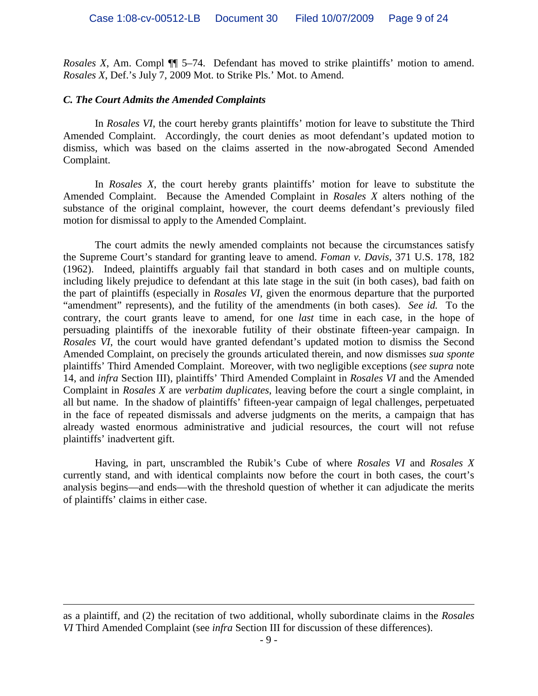*Rosales X*, Am. Compl ¶¶ 5–74. Defendant has moved to strike plaintiffs' motion to amend. *Rosales X*, Def.'s July 7, 2009 Mot. to Strike Pls.' Mot. to Amend.

#### *C. The Court Admits the Amended Complaints*

 $\overline{a}$ 

In *Rosales VI*, the court hereby grants plaintiffs' motion for leave to substitute the Third Amended Complaint. Accordingly, the court denies as moot defendant's updated motion to dismiss, which was based on the claims asserted in the now-abrogated Second Amended Complaint.

In *Rosales X*, the court hereby grants plaintiffs' motion for leave to substitute the Amended Complaint. Because the Amended Complaint in *Rosales X* alters nothing of the substance of the original complaint, however, the court deems defendant's previously filed motion for dismissal to apply to the Amended Complaint.

The court admits the newly amended complaints not because the circumstances satisfy the Supreme Court's standard for granting leave to amend. *Foman v. Davis*, 371 U.S. 178, 182 (1962). Indeed, plaintiffs arguably fail that standard in both cases and on multiple counts, including likely prejudice to defendant at this late stage in the suit (in both cases), bad faith on the part of plaintiffs (especially in *Rosales VI*, given the enormous departure that the purported "amendment" represents), and the futility of the amendments (in both cases). *See id.* To the contrary, the court grants leave to amend, for one *last* time in each case, in the hope of persuading plaintiffs of the inexorable futility of their obstinate fifteen-year campaign. In *Rosales VI*, the court would have granted defendant's updated motion to dismiss the Second Amended Complaint, on precisely the grounds articulated therein, and now dismisses *sua sponte* plaintiffs' Third Amended Complaint. Moreover, with two negligible exceptions (*see supra* note 14, and *infra* Section III), plaintiffs' Third Amended Complaint in *Rosales VI* and the Amended Complaint in *Rosales X* are *verbatim duplicates*, leaving before the court a single complaint, in all but name. In the shadow of plaintiffs' fifteen-year campaign of legal challenges, perpetuated in the face of repeated dismissals and adverse judgments on the merits, a campaign that has already wasted enormous administrative and judicial resources, the court will not refuse plaintiffs' inadvertent gift.

Having, in part, unscrambled the Rubik's Cube of where *Rosales VI* and *Rosales X* currently stand, and with identical complaints now before the court in both cases, the court's analysis begins—and ends—with the threshold question of whether it can adjudicate the merits of plaintiffs' claims in either case.

as a plaintiff, and (2) the recitation of two additional, wholly subordinate claims in the *Rosales VI* Third Amended Complaint (see *infra* Section III for discussion of these differences).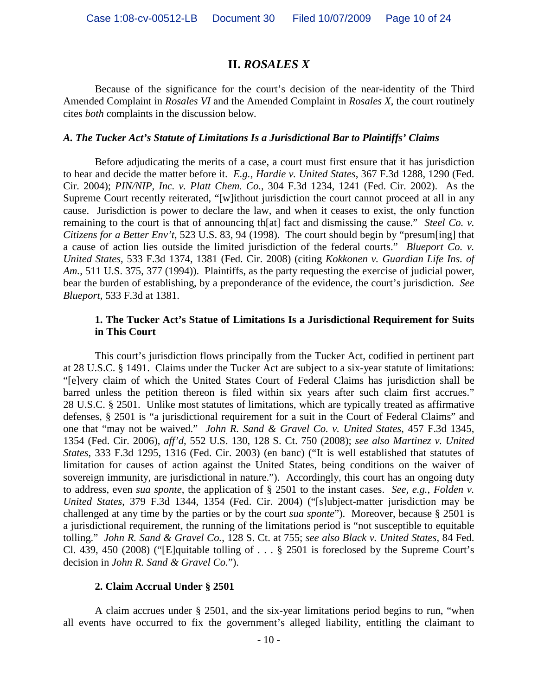# **II.** *ROSALES X*

Because of the significance for the court's decision of the near-identity of the Third Amended Complaint in *Rosales VI* and the Amended Complaint in *Rosales X*, the court routinely cites *both* complaints in the discussion below*.*

#### *A. The Tucker Act's Statute of Limitations Is a Jurisdictional Bar to Plaintiffs' Claims*

Before adjudicating the merits of a case, a court must first ensure that it has jurisdiction to hear and decide the matter before it. *E.g.*, *Hardie v. United States*, 367 F.3d 1288, 1290 (Fed. Cir. 2004); *PIN/NIP, Inc. v. Platt Chem. Co.*, 304 F.3d 1234, 1241 (Fed. Cir. 2002). As the Supreme Court recently reiterated, "[w]ithout jurisdiction the court cannot proceed at all in any cause. Jurisdiction is power to declare the law, and when it ceases to exist, the only function remaining to the court is that of announcing th[at] fact and dismissing the cause." *Steel Co. v. Citizens for a Better Env't*, 523 U.S. 83, 94 (1998). The court should begin by "presum[ing] that a cause of action lies outside the limited jurisdiction of the federal courts." *Blueport Co. v. United States*, 533 F.3d 1374, 1381 (Fed. Cir. 2008) (citing *Kokkonen v. Guardian Life Ins. of Am.*, 511 U.S. 375, 377 (1994)). Plaintiffs, as the party requesting the exercise of judicial power, bear the burden of establishing, by a preponderance of the evidence, the court's jurisdiction. *See Blueport*, 533 F.3d at 1381.

#### **1. The Tucker Act's Statue of Limitations Is a Jurisdictional Requirement for Suits in This Court**

This court's jurisdiction flows principally from the Tucker Act, codified in pertinent part at 28 U.S.C. § 1491. Claims under the Tucker Act are subject to a six-year statute of limitations: "[e]very claim of which the United States Court of Federal Claims has jurisdiction shall be barred unless the petition thereon is filed within six years after such claim first accrues." 28 U.S.C. § 2501. Unlike most statutes of limitations, which are typically treated as affirmative defenses, § 2501 is "a jurisdictional requirement for a suit in the Court of Federal Claims" and one that "may not be waived." *John R. Sand & Gravel Co. v. United States*, 457 F.3d 1345, 1354 (Fed. Cir. 2006), *aff'd*, 552 U.S. 130, 128 S. Ct. 750 (2008); *see also Martinez v. United States*, 333 F.3d 1295, 1316 (Fed. Cir. 2003) (en banc) ("It is well established that statutes of limitation for causes of action against the United States, being conditions on the waiver of sovereign immunity, are jurisdictional in nature."). Accordingly, this court has an ongoing duty to address, even *sua sponte*, the application of § 2501 to the instant cases. *See, e.g.*, *Folden v. United States*, 379 F.3d 1344, 1354 (Fed. Cir. 2004) ("[s]ubject-matter jurisdiction may be challenged at any time by the parties or by the court *sua sponte*"). Moreover, because § 2501 is a jurisdictional requirement, the running of the limitations period is "not susceptible to equitable tolling." *John R. Sand & Gravel Co.*, 128 S. Ct. at 755; *see also Black v. United States*, 84 Fed. Cl. 439, 450 (2008) ("[E]quitable tolling of . . . § 2501 is foreclosed by the Supreme Court's decision in *John R. Sand & Gravel Co.*").

#### **2. Claim Accrual Under § 2501**

A claim accrues under § 2501, and the six-year limitations period begins to run, "when all events have occurred to fix the government's alleged liability, entitling the claimant to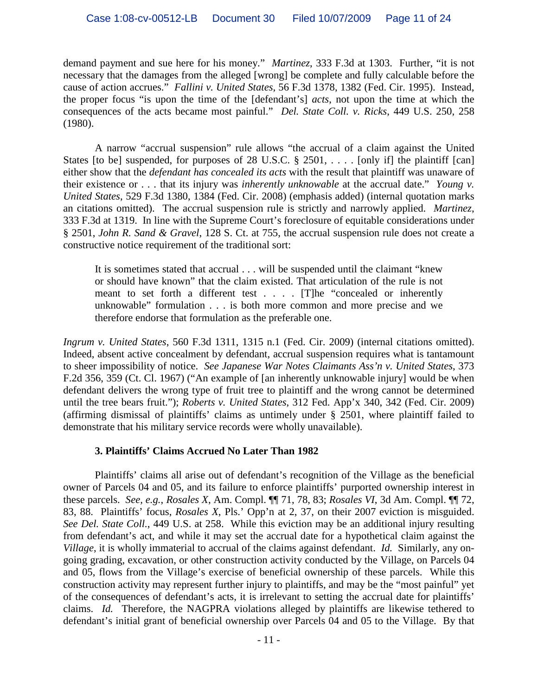demand payment and sue here for his money." *Martinez*, 333 F.3d at 1303. Further, "it is not necessary that the damages from the alleged [wrong] be complete and fully calculable before the cause of action accrues." *Fallini v. United States*, 56 F.3d 1378, 1382 (Fed. Cir. 1995). Instead, the proper focus "is upon the time of the [defendant's] *acts*, not upon the time at which the consequences of the acts became most painful." *Del. State Coll. v. Ricks*, 449 U.S. 250, 258 (1980).

A narrow "accrual suspension" rule allows "the accrual of a claim against the United States [to be] suspended, for purposes of 28 U.S.C. § 2501, ... . [only if] the plaintiff [can] either show that the *defendant has concealed its acts* with the result that plaintiff was unaware of their existence or . . . that its injury was *inherently unknowable* at the accrual date." *Young v. United States*, 529 F.3d 1380, 1384 (Fed. Cir. 2008) (emphasis added) (internal quotation marks an citations omitted). The accrual suspension rule is strictly and narrowly applied. *Martinez*, 333 F.3d at 1319. In line with the Supreme Court's foreclosure of equitable considerations under § 2501, *John R. Sand & Gravel*, 128 S. Ct. at 755, the accrual suspension rule does not create a constructive notice requirement of the traditional sort:

It is sometimes stated that accrual . . . will be suspended until the claimant "knew or should have known" that the claim existed. That articulation of the rule is not meant to set forth a different test . . . . [T]he "concealed or inherently unknowable" formulation . . . is both more common and more precise and we therefore endorse that formulation as the preferable one.

*Ingrum v. United States*, 560 F.3d 1311, 1315 n.1 (Fed. Cir. 2009) (internal citations omitted). Indeed, absent active concealment by defendant, accrual suspension requires what is tantamount to sheer impossibility of notice. *See Japanese War Notes Claimants Ass'n v. United States*, 373 F.2d 356, 359 (Ct. Cl. 1967) ("An example of [an inherently unknowable injury] would be when defendant delivers the wrong type of fruit tree to plaintiff and the wrong cannot be determined until the tree bears fruit."); *Roberts v. United States*, 312 Fed. App'x 340, 342 (Fed. Cir. 2009) (affirming dismissal of plaintiffs' claims as untimely under § 2501, where plaintiff failed to demonstrate that his military service records were wholly unavailable).

## **3. Plaintiffs' Claims Accrued No Later Than 1982**

Plaintiffs' claims all arise out of defendant's recognition of the Village as the beneficial owner of Parcels 04 and 05, and its failure to enforce plaintiffs' purported ownership interest in these parcels. *See, e.g.*, *Rosales X*, Am. Compl. ¶¶ 71, 78, 83; *Rosales VI*, 3d Am. Compl. ¶¶ 72, 83, 88. Plaintiffs' focus, *Rosales X*, Pls.' Opp'n at 2, 37, on their 2007 eviction is misguided. *See Del. State Coll.*, 449 U.S. at 258.While this eviction may be an additional injury resulting from defendant's act, and while it may set the accrual date for a hypothetical claim against the *Village*, it is wholly immaterial to accrual of the claims against defendant. *Id.* Similarly, any ongoing grading, excavation, or other construction activity conducted by the Village, on Parcels 04 and 05, flows from the Village's exercise of beneficial ownership of these parcels. While this construction activity may represent further injury to plaintiffs, and may be the "most painful" yet of the consequences of defendant's acts, it is irrelevant to setting the accrual date for plaintiffs' claims. *Id.* Therefore, the NAGPRA violations alleged by plaintiffs are likewise tethered to defendant's initial grant of beneficial ownership over Parcels 04 and 05 to the Village. By that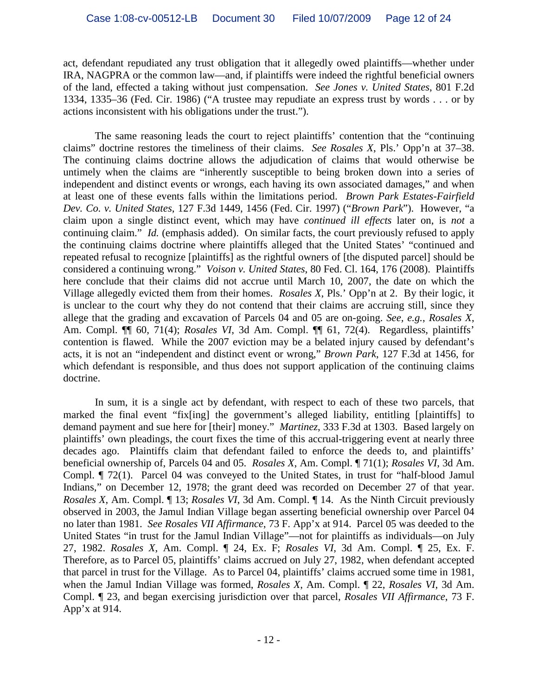act, defendant repudiated any trust obligation that it allegedly owed plaintiffs—whether under IRA, NAGPRA or the common law—and, if plaintiffs were indeed the rightful beneficial owners of the land, effected a taking without just compensation. *See Jones v. United States*, 801 F.2d 1334, 1335–36 (Fed. Cir. 1986) ("A trustee may repudiate an express trust by words . . . or by actions inconsistent with his obligations under the trust.").

The same reasoning leads the court to reject plaintiffs' contention that the "continuing claims" doctrine restores the timeliness of their claims. *See Rosales X*, Pls.' Opp'n at 37–38. The continuing claims doctrine allows the adjudication of claims that would otherwise be untimely when the claims are "inherently susceptible to being broken down into a series of independent and distinct events or wrongs, each having its own associated damages," and when at least one of these events falls within the limitations period. *Brown Park Estates-Fairfield Dev. Co. v. United States*, 127 F.3d 1449, 1456 (Fed. Cir. 1997) ("*Brown Park*"). However, "a claim upon a single distinct event, which may have *continued ill effects* later on, is *not* a continuing claim." *Id.* (emphasis added). On similar facts, the court previously refused to apply the continuing claims doctrine where plaintiffs alleged that the United States' "continued and repeated refusal to recognize [plaintiffs] as the rightful owners of [the disputed parcel] should be considered a continuing wrong." *Voison v. United States*, 80 Fed. Cl. 164, 176 (2008). Plaintiffs here conclude that their claims did not accrue until March 10, 2007, the date on which the Village allegedly evicted them from their homes. *Rosales X*, Pls.' Opp'n at 2. By their logic, it is unclear to the court why they do not contend that their claims are accruing still, since they allege that the grading and excavation of Parcels 04 and 05 are on-going. *See, e.g.*, *Rosales X*, Am. Compl. ¶¶ 60, 71(4); *Rosales VI*, 3d Am. Compl. ¶¶ 61, 72(4). Regardless, plaintiffs' contention is flawed. While the 2007 eviction may be a belated injury caused by defendant's acts, it is not an "independent and distinct event or wrong," *Brown Park*, 127 F.3d at 1456, for which defendant is responsible, and thus does not support application of the continuing claims doctrine.

In sum, it is a single act by defendant, with respect to each of these two parcels, that marked the final event "fix[ing] the government's alleged liability, entitling [plaintiffs] to demand payment and sue here for [their] money." *Martinez*, 333 F.3d at 1303. Based largely on plaintiffs' own pleadings, the court fixes the time of this accrual-triggering event at nearly three decades ago. Plaintiffs claim that defendant failed to enforce the deeds to, and plaintiffs' beneficial ownership of, Parcels 04 and 05. *Rosales X*, Am. Compl. ¶ 71(1); *Rosales VI*, 3d Am. Compl. ¶ 72(1). Parcel 04 was conveyed to the United States, in trust for "half-blood Jamul Indians," on December 12, 1978; the grant deed was recorded on December 27 of that year. *Rosales X*, Am. Compl. ¶ 13; *Rosales VI*, 3d Am. Compl. ¶ 14. As the Ninth Circuit previously observed in 2003, the Jamul Indian Village began asserting beneficial ownership over Parcel 04 no later than 1981. *See Rosales VII Affirmance*, 73 F. App'x at 914. Parcel 05 was deeded to the United States "in trust for the Jamul Indian Village"—not for plaintiffs as individuals—on July 27, 1982. *Rosales X*, Am. Compl. ¶ 24, Ex. F; *Rosales VI*, 3d Am. Compl. ¶ 25, Ex. F. Therefore, as to Parcel 05, plaintiffs' claims accrued on July 27, 1982, when defendant accepted that parcel in trust for the Village. As to Parcel 04, plaintiffs' claims accrued some time in 1981, when the Jamul Indian Village was formed, *Rosales X*, Am. Compl. ¶ 22, *Rosales VI*, 3d Am. Compl. ¶ 23, and began exercising jurisdiction over that parcel, *Rosales VII Affirmance*, 73 F. App'x at 914.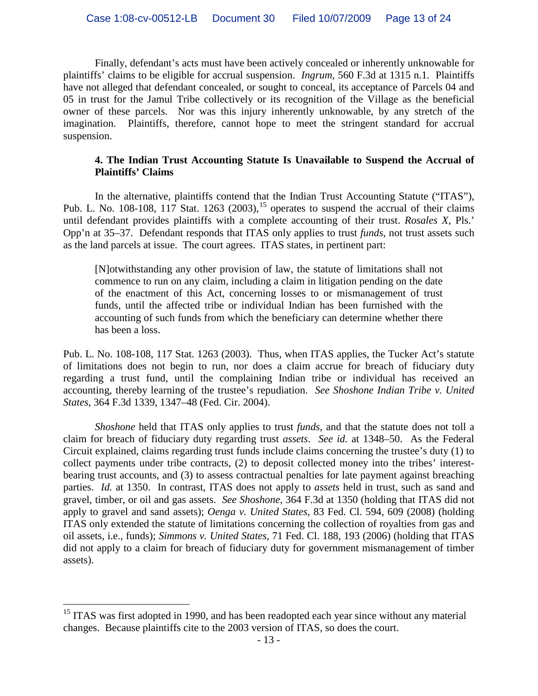Finally, defendant's acts must have been actively concealed or inherently unknowable for plaintiffs' claims to be eligible for accrual suspension. *Ingrum*, 560 F.3d at 1315 n.1. Plaintiffs have not alleged that defendant concealed, or sought to conceal, its acceptance of Parcels 04 and 05 in trust for the Jamul Tribe collectively or its recognition of the Village as the beneficial owner of these parcels. Nor was this injury inherently unknowable, by any stretch of the imagination. Plaintiffs, therefore, cannot hope to meet the stringent standard for accrual suspension.

## **4. The Indian Trust Accounting Statute Is Unavailable to Suspend the Accrual of Plaintiffs' Claims**

In the alternative, plaintiffs contend that the Indian Trust Accounting Statute ("ITAS"), Pub. L. No. 108-108, 117 Stat. 1263  $(2003)$ ,<sup>[15](#page-12-0)</sup> operates to suspend the accrual of their claims until defendant provides plaintiffs with a complete accounting of their trust. *Rosales X*, Pls.' Opp'n at 35–37. Defendant responds that ITAS only applies to trust *funds*, not trust assets such as the land parcels at issue. The court agrees. ITAS states, in pertinent part:

[N]otwithstanding any other provision of law, the statute of limitations shall not commence to run on any claim, including a claim in litigation pending on the date of the enactment of this Act, concerning losses to or mismanagement of trust funds, until the affected tribe or individual Indian has been furnished with the accounting of such funds from which the beneficiary can determine whether there has been a loss.

Pub. L. No. 108-108, 117 Stat. 1263 (2003). Thus, when ITAS applies, the Tucker Act's statute of limitations does not begin to run, nor does a claim accrue for breach of fiduciary duty regarding a trust fund, until the complaining Indian tribe or individual has received an accounting, thereby learning of the trustee's repudiation. *See Shoshone Indian Tribe v. United States*, 364 F.3d 1339, 1347–48 (Fed. Cir. 2004).

*Shoshone* held that ITAS only applies to trust *funds*, and that the statute does not toll a claim for breach of fiduciary duty regarding trust *assets*. *See id.* at 1348–50. As the Federal Circuit explained, claims regarding trust funds include claims concerning the trustee's duty (1) to collect payments under tribe contracts, (2) to deposit collected money into the tribes' interestbearing trust accounts, and (3) to assess contractual penalties for late payment against breaching parties. *Id.* at 1350. In contrast, ITAS does not apply to *assets* held in trust, such as sand and gravel, timber, or oil and gas assets. *See Shoshone*, 364 F.3d at 1350 (holding that ITAS did not apply to gravel and sand assets); *Oenga v. United States*, 83 Fed. Cl. 594, 609 (2008) (holding ITAS only extended the statute of limitations concerning the collection of royalties from gas and oil assets, i.e., funds); *Simmons v. United States*, 71 Fed. Cl. 188, 193 (2006) (holding that ITAS did not apply to a claim for breach of fiduciary duty for government mismanagement of timber assets).

<span id="page-12-0"></span><sup>&</sup>lt;sup>15</sup> ITAS was first adopted in 1990, and has been readopted each year since without any material changes. Because plaintiffs cite to the 2003 version of ITAS, so does the court.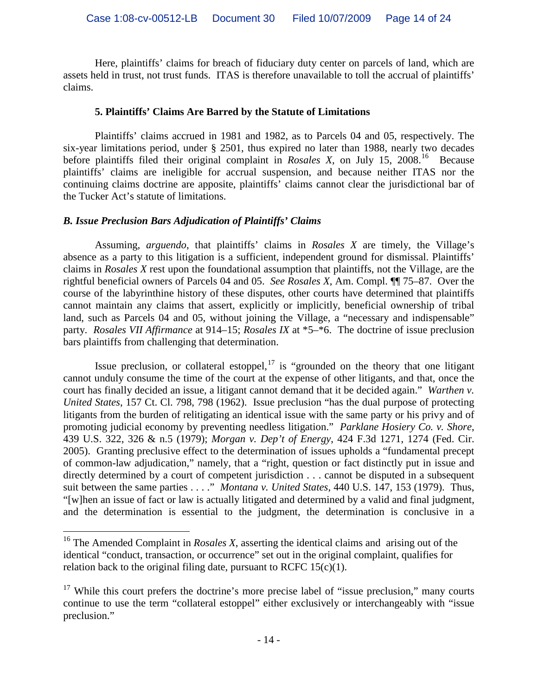Here, plaintiffs' claims for breach of fiduciary duty center on parcels of land, which are assets held in trust, not trust funds. ITAS is therefore unavailable to toll the accrual of plaintiffs' claims.

## **5. Plaintiffs' Claims Are Barred by the Statute of Limitations**

Plaintiffs' claims accrued in 1981 and 1982, as to Parcels 04 and 05, respectively. The six-year limitations period, under § 2501, thus expired no later than 1988, nearly two decades before plaintiffs filed their original complaint in *Rosales X*, on July 15, 2008.<sup>[16](#page-13-0)</sup> Because plaintiffs' claims are ineligible for accrual suspension, and because neither ITAS nor the continuing claims doctrine are apposite, plaintiffs' claims cannot clear the jurisdictional bar of the Tucker Act's statute of limitations.

## *B. Issue Preclusion Bars Adjudication of Plaintiffs' Claims*

Assuming, *arguendo*, that plaintiffs' claims in *Rosales X* are timely, the Village's absence as a party to this litigation is a sufficient, independent ground for dismissal. Plaintiffs' claims in *Rosales X* rest upon the foundational assumption that plaintiffs, not the Village, are the rightful beneficial owners of Parcels 04 and 05. *See Rosales X*, Am. Compl. ¶¶ 75–87. Over the course of the labyrinthine history of these disputes, other courts have determined that plaintiffs cannot maintain any claims that assert, explicitly or implicitly, beneficial ownership of tribal land, such as Parcels 04 and 05, without joining the Village, a "necessary and indispensable" party. *Rosales VII Affirmance* at 914–15; *Rosales IX* at \*5–\*6. The doctrine of issue preclusion bars plaintiffs from challenging that determination.

Issue preclusion, or collateral estoppel,  $17$  is "grounded on the theory that one litigant cannot unduly consume the time of the court at the expense of other litigants, and that, once the court has finally decided an issue, a litigant cannot demand that it be decided again." *Warthen v. United States*, 157 Ct. Cl. 798, 798 (1962). Issue preclusion "has the dual purpose of protecting litigants from the burden of relitigating an identical issue with the same party or his privy and of promoting judicial economy by preventing needless litigation." *Parklane Hosiery Co. v. Shore*, 439 U.S. 322, 326 & n.5 (1979); *Morgan v. Dep't of Energy*, 424 F.3d 1271, 1274 (Fed. Cir. 2005). Granting preclusive effect to the determination of issues upholds a "fundamental precept of common-law adjudication," namely, that a "right, question or fact distinctly put in issue and directly determined by a court of competent jurisdiction . . . cannot be disputed in a subsequent suit between the same parties . . . ." *Montana v. United States*, 440 U.S. 147, 153 (1979). Thus, "[w]hen an issue of fact or law is actually litigated and determined by a valid and final judgment, and the determination is essential to the judgment, the determination is conclusive in a

<span id="page-13-0"></span> <sup>16</sup> The Amended Complaint in *Rosales X*, asserting the identical claims and arising out of the identical "conduct, transaction, or occurrence" set out in the original complaint, qualifies for relation back to the original filing date, pursuant to RCFC  $15(c)(1)$ .

<span id="page-13-1"></span> $17$  While this court prefers the doctrine's more precise label of "issue preclusion," many courts continue to use the term "collateral estoppel" either exclusively or interchangeably with "issue preclusion."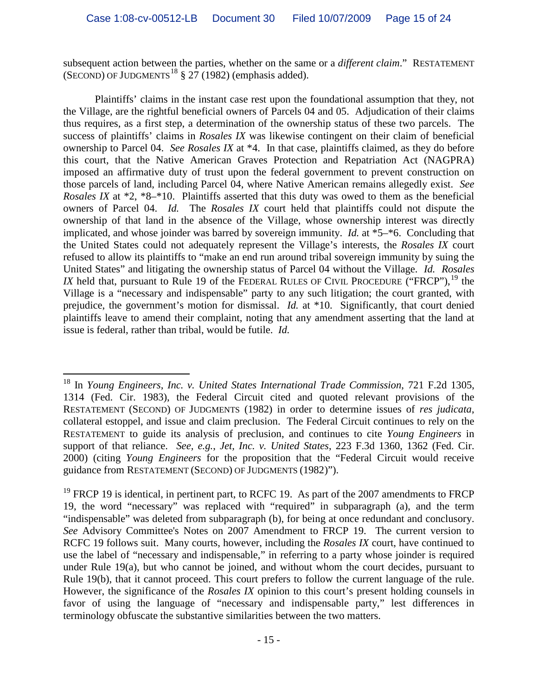subsequent action between the parties, whether on the same or a *different claim*." RESTATEMENT (SECOND) OF JUDGMENTS<sup>[18](#page-14-0)</sup> § 27 (1982) (emphasis added).

Plaintiffs' claims in the instant case rest upon the foundational assumption that they, not the Village, are the rightful beneficial owners of Parcels 04 and 05. Adjudication of their claims thus requires, as a first step, a determination of the ownership status of these two parcels. The success of plaintiffs' claims in *Rosales IX* was likewise contingent on their claim of beneficial ownership to Parcel 04. *See Rosales IX* at \*4. In that case, plaintiffs claimed, as they do before this court, that the Native American Graves Protection and Repatriation Act (NAGPRA) imposed an affirmative duty of trust upon the federal government to prevent construction on those parcels of land, including Parcel 04, where Native American remains allegedly exist. *See Rosales IX* at \*2, \*8–\*10. Plaintiffs asserted that this duty was owed to them as the beneficial owners of Parcel 04. *Id.* The *Rosales IX* court held that plaintiffs could not dispute the ownership of that land in the absence of the Village, whose ownership interest was directly implicated, and whose joinder was barred by sovereign immunity. *Id.* at \*5–\*6. Concluding that the United States could not adequately represent the Village's interests, the *Rosales IX* court refused to allow its plaintiffs to "make an end run around tribal sovereign immunity by suing the United States" and litigating the ownership status of Parcel 04 without the Village. *Id. Rosales*  IX held that, pursuant to Rule [19](#page-14-1) of the FEDERAL RULES OF CIVIL PROCEDURE ("FRCP"),  $^{19}$  the Village is a "necessary and indispensable" party to any such litigation; the court granted, with prejudice, the government's motion for dismissal. *Id.* at \*10. Significantly, that court denied plaintiffs leave to amend their complaint, noting that any amendment asserting that the land at issue is federal, rather than tribal, would be futile. *Id.*

<span id="page-14-0"></span> <sup>18</sup> In *Young Engineers*, *Inc. v. United States International Trade Commission*, 721 F.2d 1305, 1314 (Fed. Cir. 1983), the Federal Circuit cited and quoted relevant provisions of the RESTATEMENT (SECOND) OF JUDGMENTS (1982) in order to determine issues of *res judicata*, collateral estoppel, and issue and claim preclusion. The Federal Circuit continues to rely on the RESTATEMENT to guide its analysis of preclusion, and continues to cite *Young Engineers* in support of that reliance. *See, e.g.*, *Jet, Inc. v. United States*, 223 F.3d 1360, 1362 (Fed. Cir. 2000) (citing *Young Engineers* for the proposition that the "Federal Circuit would receive guidance from RESTATEMENT (SECOND) OF JUDGMENTS (1982)").

<span id="page-14-1"></span><sup>&</sup>lt;sup>19</sup> FRCP 19 is identical, in pertinent part, to RCFC 19. As part of the 2007 amendments to FRCP 19, the word "necessary" was replaced with "required" in subparagraph (a), and the term "indispensable" was deleted from subparagraph (b), for being at once redundant and conclusory. *See* Advisory Committee's Notes on 2007 Amendment to FRCP 19. The current version to RCFC 19 follows suit. Many courts, however, including the *Rosales IX* court, have continued to use the label of "necessary and indispensable," in referring to a party whose joinder is required under Rule 19(a), but who cannot be joined, and without whom the court decides, pursuant to Rule 19(b), that it cannot proceed. This court prefers to follow the current language of the rule. However, the significance of the *Rosales IX* opinion to this court's present holding counsels in favor of using the language of "necessary and indispensable party," lest differences in terminology obfuscate the substantive similarities between the two matters.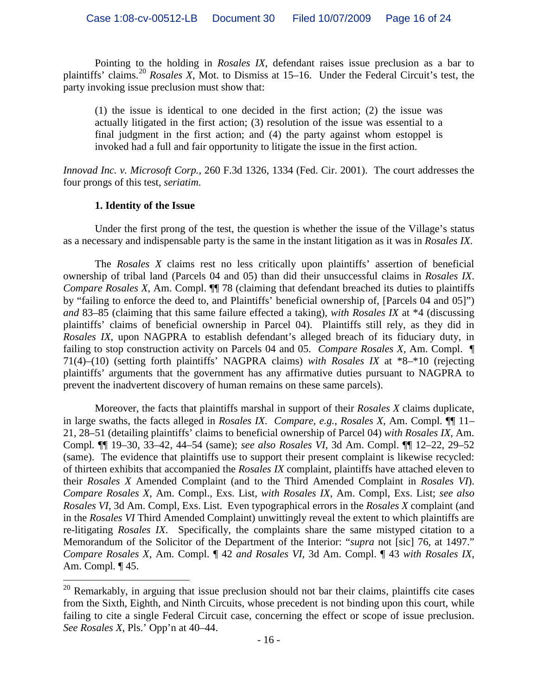Pointing to the holding in *Rosales IX*, defendant raises issue preclusion as a bar to plaintiffs' claims.<sup>[20](#page-15-0)</sup> Rosales X, Mot. to Dismiss at 15–16. Under the Federal Circuit's test, the party invoking issue preclusion must show that:

(1) the issue is identical to one decided in the first action; (2) the issue was actually litigated in the first action; (3) resolution of the issue was essential to a final judgment in the first action; and (4) the party against whom estoppel is invoked had a full and fair opportunity to litigate the issue in the first action.

*Innovad Inc. v. Microsoft Corp.*, 260 F.3d 1326, 1334 (Fed. Cir. 2001). The court addresses the four prongs of this test, *seriatim*.

## **1. Identity of the Issue**

Under the first prong of the test, the question is whether the issue of the Village's status as a necessary and indispensable party is the same in the instant litigation as it was in *Rosales IX*.

The *Rosales X* claims rest no less critically upon plaintiffs' assertion of beneficial ownership of tribal land (Parcels 04 and 05) than did their unsuccessful claims in *Rosales IX*. *Compare Rosales X*, Am. Compl. ¶¶ 78 (claiming that defendant breached its duties to plaintiffs by "failing to enforce the deed to, and Plaintiffs' beneficial ownership of, [Parcels 04 and 05]") *and* 83–85 (claiming that this same failure effected a taking), *with Rosales IX* at \*4 (discussing plaintiffs' claims of beneficial ownership in Parcel 04). Plaintiffs still rely, as they did in *Rosales IX*, upon NAGPRA to establish defendant's alleged breach of its fiduciary duty, in failing to stop construction activity on Parcels 04 and 05. *Compare Rosales X*, Am. Compl. ¶ 71(4)–(10) (setting forth plaintiffs' NAGPRA claims) *with Rosales IX* at \*8–\*10 (rejecting plaintiffs' arguments that the government has any affirmative duties pursuant to NAGPRA to prevent the inadvertent discovery of human remains on these same parcels).

Moreover, the facts that plaintiffs marshal in support of their *Rosales X* claims duplicate, in large swaths, the facts alleged in *Rosales IX*. *Compare, e.g.*, *Rosales X*, Am. Compl. ¶¶ 11– 21, 28–51 (detailing plaintiffs' claims to beneficial ownership of Parcel 04) *with Rosales IX*, Am. Compl*.* ¶¶ 19–30, 33–42, 44–54 (same); *see also Rosales VI*, 3d Am. Compl. ¶¶ 12–22, 29–52 (same). The evidence that plaintiffs use to support their present complaint is likewise recycled: of thirteen exhibits that accompanied the *Rosales IX* complaint, plaintiffs have attached eleven to their *Rosales X* Amended Complaint (and to the Third Amended Complaint in *Rosales VI*). *Compare Rosales X*, Am. Compl., Exs. List, *with Rosales IX*, Am. Compl, Exs. List; *see also Rosales VI*, 3d Am. Compl, Exs. List. Even typographical errors in the *Rosales X* complaint (and in the *Rosales VI* Third Amended Complaint) unwittingly reveal the extent to which plaintiffs are re-litigating *Rosales IX*. Specifically, the complaints share the same mistyped citation to a Memorandum of the Solicitor of the Department of the Interior: "*supra* not [sic] 76, at 1497." *Compare Rosales X*, Am. Compl. ¶ 42 *and Rosales VI*, 3d Am. Compl. ¶ 43 *with Rosales IX*, Am. Compl*.* ¶ 45.

<span id="page-15-0"></span><sup>&</sup>lt;sup>20</sup> Remarkably, in arguing that issue preclusion should not bar their claims, plaintiffs cite cases from the Sixth, Eighth, and Ninth Circuits, whose precedent is not binding upon this court, while failing to cite a single Federal Circuit case, concerning the effect or scope of issue preclusion. *See Rosales X*, Pls.' Opp'n at 40–44.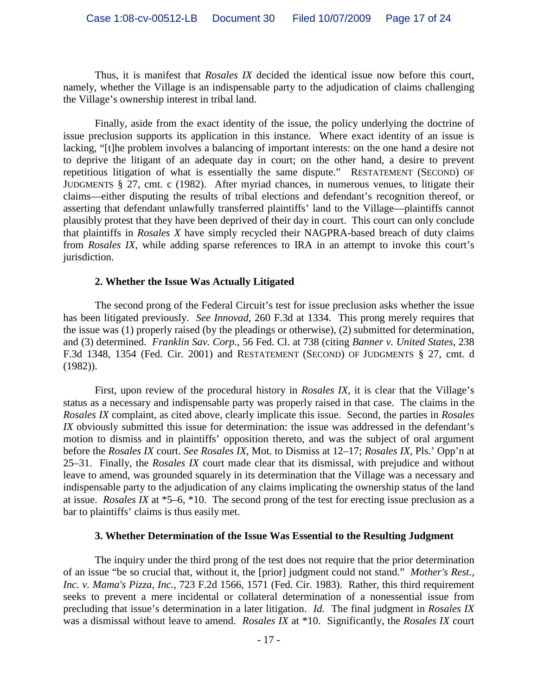Thus, it is manifest that *Rosales IX* decided the identical issue now before this court, namely, whether the Village is an indispensable party to the adjudication of claims challenging the Village's ownership interest in tribal land.

Finally, aside from the exact identity of the issue, the policy underlying the doctrine of issue preclusion supports its application in this instance. Where exact identity of an issue is lacking, "[t]he problem involves a balancing of important interests: on the one hand a desire not to deprive the litigant of an adequate day in court; on the other hand, a desire to prevent repetitious litigation of what is essentially the same dispute." RESTATEMENT (SECOND) OF JUDGMENTS § 27, cmt. c (1982). After myriad chances, in numerous venues, to litigate their claims—either disputing the results of tribal elections and defendant's recognition thereof, or asserting that defendant unlawfully transferred plaintiffs' land to the Village—plaintiffs cannot plausibly protest that they have been deprived of their day in court. This court can only conclude that plaintiffs in *Rosales X* have simply recycled their NAGPRA-based breach of duty claims from *Rosales IX*, while adding sparse references to IRA in an attempt to invoke this court's jurisdiction.

#### **2. Whether the Issue Was Actually Litigated**

The second prong of the Federal Circuit's test for issue preclusion asks whether the issue has been litigated previously. *See Innovad*, 260 F.3d at 1334. This prong merely requires that the issue was (1) properly raised (by the pleadings or otherwise), (2) submitted for determination, and (3) determined. *Franklin Sav. Corp.*, 56 Fed. Cl. at 738 (citing *Banner v. United States*, 238 F.3d 1348, 1354 (Fed. Cir. 2001) and RESTATEMENT (SECOND) OF JUDGMENTS § 27, cmt. d (1982)).

First, upon review of the procedural history in *Rosales IX*, it is clear that the Village's status as a necessary and indispensable party was properly raised in that case. The claims in the *Rosales IX* complaint, as cited above, clearly implicate this issue. Second, the parties in *Rosales IX* obviously submitted this issue for determination: the issue was addressed in the defendant's motion to dismiss and in plaintiffs' opposition thereto, and was the subject of oral argument before the *Rosales IX* court. *See Rosales IX*, Mot. to Dismiss at 12–17; *Rosales IX*, Pls.' Opp'n at 25–31. Finally, the *Rosales IX* court made clear that its dismissal, with prejudice and without leave to amend, was grounded squarely in its determination that the Village was a necessary and indispensable party to the adjudication of any claims implicating the ownership status of the land at issue. *Rosales IX* at \*5–6, \*10. The second prong of the test for erecting issue preclusion as a bar to plaintiffs' claims is thus easily met.

#### **3. Whether Determination of the Issue Was Essential to the Resulting Judgment**

The inquiry under the third prong of the test does not require that the prior determination of an issue "be so crucial that, without it, the [prior] judgment could not stand." *Mother's Rest., Inc. v. Mama's Pizza, Inc.*, 723 F.2d 1566, 1571 (Fed. Cir. 1983). Rather, this third requirement seeks to prevent a mere incidental or collateral determination of a nonessential issue from precluding that issue's determination in a later litigation. *Id.* The final judgment in *Rosales IX* was a dismissal without leave to amend. *Rosales IX* at \*10. Significantly, the *Rosales IX* court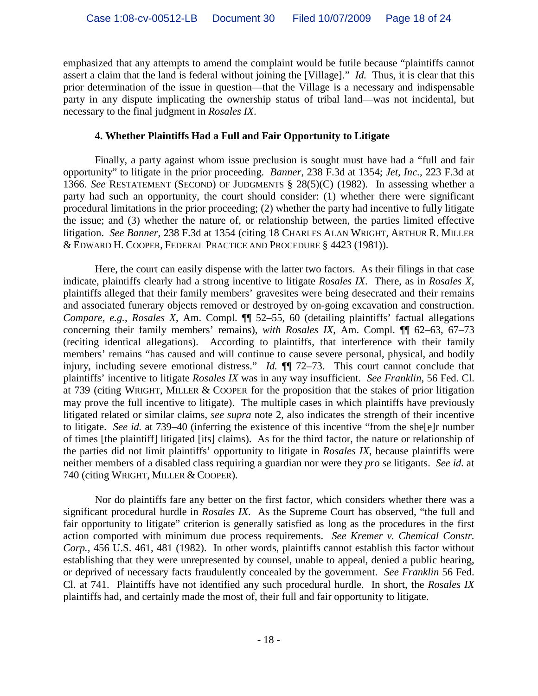emphasized that any attempts to amend the complaint would be futile because "plaintiffs cannot assert a claim that the land is federal without joining the [Village]." *Id.* Thus, it is clear that this prior determination of the issue in question—that the Village is a necessary and indispensable party in any dispute implicating the ownership status of tribal land—was not incidental, but necessary to the final judgment in *Rosales IX*.

## **4. Whether Plaintiffs Had a Full and Fair Opportunity to Litigate**

Finally, a party against whom issue preclusion is sought must have had a "full and fair opportunity" to litigate in the prior proceeding. *Banner*, 238 F.3d at 1354; *Jet, Inc.*, 223 F.3d at 1366. *See* RESTATEMENT (SECOND) OF JUDGMENTS § 28(5)(C) (1982). In assessing whether a party had such an opportunity, the court should consider: (1) whether there were significant procedural limitations in the prior proceeding; (2) whether the party had incentive to fully litigate the issue; and (3) whether the nature of, or relationship between, the parties limited effective litigation. *See Banner*, 238 F.3d at 1354 (citing 18 CHARLES ALAN WRIGHT, ARTHUR R. MILLER & EDWARD H. COOPER, FEDERAL PRACTICE AND PROCEDURE § 4423 (1981)).

Here, the court can easily dispense with the latter two factors. As their filings in that case indicate, plaintiffs clearly had a strong incentive to litigate *Rosales IX*. There, as in *Rosales X*, plaintiffs alleged that their family members' gravesites were being desecrated and their remains and associated funerary objects removed or destroyed by on-going excavation and construction. *Compare, e.g.*, *Rosales X*, Am. Compl. ¶¶ 52–55, 60 (detailing plaintiffs' factual allegations concerning their family members' remains), *with Rosales IX*, Am. Compl. ¶¶ 62–63, 67–73 (reciting identical allegations). According to plaintiffs, that interference with their family members' remains "has caused and will continue to cause severe personal, physical, and bodily injury, including severe emotional distress." *Id.* ¶¶ 72–73. This court cannot conclude that plaintiffs' incentive to litigate *Rosales IX* was in any way insufficient. *See Franklin*, 56 Fed. Cl. at 739 (citing WRIGHT, MILLER & COOPER for the proposition that the stakes of prior litigation may prove the full incentive to litigate). The multiple cases in which plaintiffs have previously litigated related or similar claims, *see supra* note 2, also indicates the strength of their incentive to litigate. *See id.* at 739–40 (inferring the existence of this incentive "from the she[e]r number of times [the plaintiff] litigated [its] claims). As for the third factor, the nature or relationship of the parties did not limit plaintiffs' opportunity to litigate in *Rosales IX*, because plaintiffs were neither members of a disabled class requiring a guardian nor were they *pro se* litigants. *See id.* at 740 (citing WRIGHT, MILLER & COOPER).

Nor do plaintiffs fare any better on the first factor, which considers whether there was a significant procedural hurdle in *Rosales IX*. As the Supreme Court has observed, "the full and fair opportunity to litigate" criterion is generally satisfied as long as the procedures in the first action comported with minimum due process requirements. *See Kremer v. Chemical Constr. Corp.*, 456 U.S. 461, 481 (1982). In other words, plaintiffs cannot establish this factor without establishing that they were unrepresented by counsel, unable to appeal, denied a public hearing, or deprived of necessary facts fraudulently concealed by the government. *See Franklin* 56 Fed. Cl. at 741. Plaintiffs have not identified any such procedural hurdle. In short, the *Rosales IX* plaintiffs had, and certainly made the most of, their full and fair opportunity to litigate.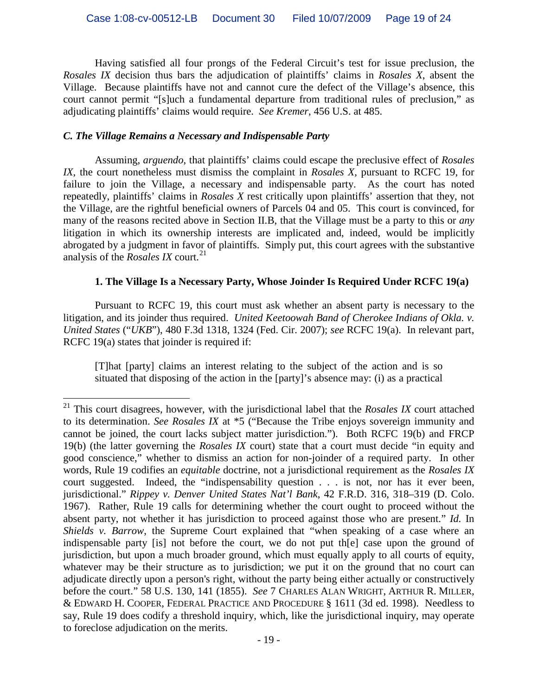Having satisfied all four prongs of the Federal Circuit's test for issue preclusion, the *Rosales IX* decision thus bars the adjudication of plaintiffs' claims in *Rosales X*, absent the Village. Because plaintiffs have not and cannot cure the defect of the Village's absence, this court cannot permit "[s]uch a fundamental departure from traditional rules of preclusion," as adjudicating plaintiffs' claims would require. *See Kremer*, 456 U.S. at 485.

## *C. The Village Remains a Necessary and Indispensable Party*

Assuming, *arguendo*, that plaintiffs' claims could escape the preclusive effect of *Rosales IX*, the court nonetheless must dismiss the complaint in *Rosales X*, pursuant to RCFC 19, for failure to join the Village, a necessary and indispensable party. As the court has noted repeatedly, plaintiffs' claims in *Rosales X* rest critically upon plaintiffs' assertion that they, not the Village, are the rightful beneficial owners of Parcels 04 and 05.This court is convinced, for many of the reasons recited above in Section II.B, that the Village must be a party to this or *any* litigation in which its ownership interests are implicated and, indeed, would be implicitly abrogated by a judgment in favor of plaintiffs. Simply put, this court agrees with the substantive analysis of the *Rosales IX* court. [21](#page-18-0)

## **1. The Village Is a Necessary Party, Whose Joinder Is Required Under RCFC 19(a)**

Pursuant to RCFC 19, this court must ask whether an absent party is necessary to the litigation, and its joinder thus required. *United Keetoowah Band of Cherokee Indians of Okla. v. United States* ("*UKB*"), 480 F.3d 1318, 1324 (Fed. Cir. 2007); *see* RCFC 19(a). In relevant part, RCFC 19(a) states that joinder is required if:

[T]hat [party] claims an interest relating to the subject of the action and is so situated that disposing of the action in the [party]'s absence may: (i) as a practical

<span id="page-18-0"></span> <sup>21</sup> This court disagrees, however, with the jurisdictional label that the *Rosales IX* court attached to its determination. *See Rosales IX* at \*5 ("Because the Tribe enjoys sovereign immunity and cannot be joined, the court lacks subject matter jurisdiction."). Both RCFC 19(b) and FRCP 19(b) (the latter governing the *Rosales IX* court) state that a court must decide "in equity and good conscience," whether to dismiss an action for non-joinder of a required party. In other words, Rule 19 codifies an *equitable* doctrine, not a jurisdictional requirement as the *Rosales IX*  court suggested. Indeed, the "indispensability question . . . is not, nor has it ever been, jurisdictional." *Rippey v. Denver United States Nat'l Bank*, 42 F.R.D. 316, 318–319 (D. Colo. 1967). Rather, Rule 19 calls for determining whether the court ought to proceed without the absent party, not whether it has jurisdiction to proceed against those who are present." *Id.* In *Shields v. Barrow*, the Supreme Court explained that "when speaking of a case where an indispensable party [is] not before the court, we do not put th[e] case upon the ground of jurisdiction, but upon a much broader ground, which must equally apply to all courts of equity, whatever may be their structure as to jurisdiction; we put it on the ground that no court can adjudicate directly upon a person's right, without the party being either actually or constructively before the court." 58 U.S. 130, 141 (1855). *See* 7 CHARLES ALAN WRIGHT, ARTHUR R. MILLER, & EDWARD H. COOPER, FEDERAL PRACTICE AND PROCEDURE § 1611 (3d ed. 1998). Needless to say, Rule 19 does codify a threshold inquiry, which, like the jurisdictional inquiry, may operate to foreclose adjudication on the merits.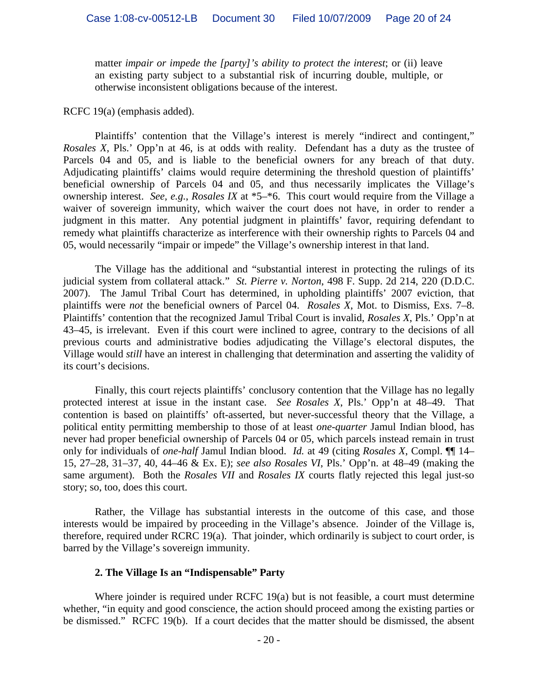matter *impair or impede the [party]'s ability to protect the interest*; or (ii) leave an existing party subject to a substantial risk of incurring double, multiple, or otherwise inconsistent obligations because of the interest.

#### RCFC 19(a) (emphasis added).

Plaintiffs' contention that the Village's interest is merely "indirect and contingent," *Rosales X*, Pls.' Opp'n at 46, is at odds with reality. Defendant has a duty as the trustee of Parcels 04 and 05, and is liable to the beneficial owners for any breach of that duty. Adjudicating plaintiffs' claims would require determining the threshold question of plaintiffs' beneficial ownership of Parcels 04 and 05, and thus necessarily implicates the Village's ownership interest. *See, e.g.*, *Rosales IX* at \*5–\*6. This court would require from the Village a waiver of sovereign immunity, which waiver the court does not have, in order to render a judgment in this matter. Any potential judgment in plaintiffs' favor, requiring defendant to remedy what plaintiffs characterize as interference with their ownership rights to Parcels 04 and 05, would necessarily "impair or impede" the Village's ownership interest in that land.

The Village has the additional and "substantial interest in protecting the rulings of its judicial system from collateral attack." *St. Pierre v. Norton*, 498 F. Supp. 2d 214, 220 (D.D.C. 2007). The Jamul Tribal Court has determined, in upholding plaintiffs' 2007 eviction, that plaintiffs were *not* the beneficial owners of Parcel 04. *Rosales X*, Mot. to Dismiss, Exs. 7–8. Plaintiffs' contention that the recognized Jamul Tribal Court is invalid, *Rosales X*, Pls.' Opp'n at 43–45, is irrelevant. Even if this court were inclined to agree, contrary to the decisions of all previous courts and administrative bodies adjudicating the Village's electoral disputes, the Village would *still* have an interest in challenging that determination and asserting the validity of its court's decisions.

Finally, this court rejects plaintiffs' conclusory contention that the Village has no legally protected interest at issue in the instant case. *See Rosales X*, Pls.' Opp'n at 48–49. That contention is based on plaintiffs' oft-asserted, but never-successful theory that the Village, a political entity permitting membership to those of at least *one-quarter* Jamul Indian blood, has never had proper beneficial ownership of Parcels 04 or 05, which parcels instead remain in trust only for individuals of *one-half* Jamul Indian blood. *Id.* at 49 (citing *Rosales X*, Compl. ¶¶ 14– 15, 27–28, 31–37, 40, 44–46 & Ex. E); *see also Rosales VI*, Pls.' Opp'n. at 48–49 (making the same argument). Both the *Rosales VII* and *Rosales IX* courts flatly rejected this legal just-so story; so, too, does this court.

Rather, the Village has substantial interests in the outcome of this case, and those interests would be impaired by proceeding in the Village's absence. Joinder of the Village is, therefore, required under RCRC 19(a). That joinder, which ordinarily is subject to court order, is barred by the Village's sovereign immunity.

#### **2. The Village Is an "Indispensable" Party**

Where joinder is required under RCFC 19(a) but is not feasible, a court must determine whether, "in equity and good conscience, the action should proceed among the existing parties or be dismissed." RCFC 19(b). If a court decides that the matter should be dismissed, the absent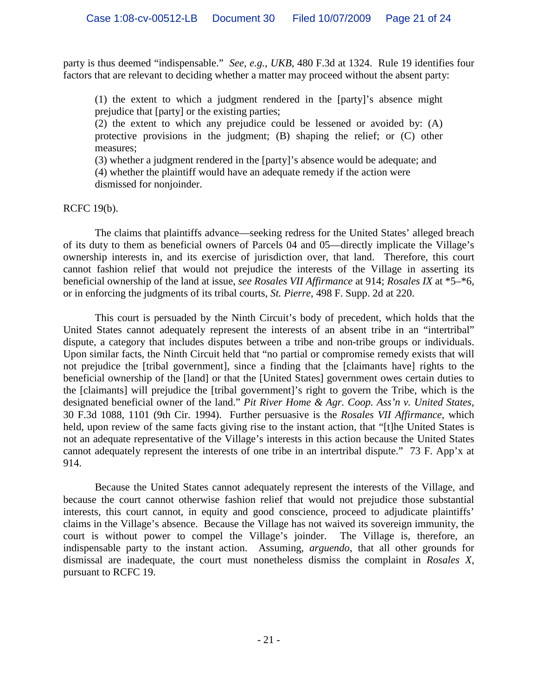party is thus deemed "indispensable." *See, e.g.*, *UKB*, 480 F.3d at 1324. Rule 19 identifies four factors that are relevant to deciding whether a matter may proceed without the absent party:

(1) the extent to which a judgment rendered in the [party]'s absence might prejudice that [party] or the existing parties;

(2) the extent to which any prejudice could be lessened or avoided by: (A) protective provisions in the judgment; (B) shaping the relief; or (C) other measures;

(3) whether a judgment rendered in the [party]'s absence would be adequate; and (4) whether the plaintiff would have an adequate remedy if the action were dismissed for nonjoinder.

RCFC 19(b).

The claims that plaintiffs advance—seeking redress for the United States' alleged breach of its duty to them as beneficial owners of Parcels 04 and 05—directly implicate the Village's ownership interests in, and its exercise of jurisdiction over, that land. Therefore, this court cannot fashion relief that would not prejudice the interests of the Village in asserting its beneficial ownership of the land at issue, *see Rosales VII Affirmance* at 914; *Rosales IX* at \*5–\*6, or in enforcing the judgments of its tribal courts, *St. Pierre*, 498 F. Supp. 2d at 220.

This court is persuaded by the Ninth Circuit's body of precedent, which holds that the United States cannot adequately represent the interests of an absent tribe in an "intertribal" dispute, a category that includes disputes between a tribe and non-tribe groups or individuals. Upon similar facts, the Ninth Circuit held that "no partial or compromise remedy exists that will not prejudice the [tribal government], since a finding that the [claimants have] rights to the beneficial ownership of the [land] or that the [United States] government owes certain duties to the [claimants] will prejudice the [tribal government]'s right to govern the Tribe, which is the designated beneficial owner of the land." *Pit River Home & Agr. Coop. Ass'n v. United States*, 30 F.3d 1088, 1101 (9th Cir. 1994). Further persuasive is the *Rosales VII Affirmance*, which held, upon review of the same facts giving rise to the instant action, that "[t]he United States is not an adequate representative of the Village's interests in this action because the United States cannot adequately represent the interests of one tribe in an intertribal dispute." 73 F. App'x at 914.

Because the United States cannot adequately represent the interests of the Village, and because the court cannot otherwise fashion relief that would not prejudice those substantial interests, this court cannot, in equity and good conscience, proceed to adjudicate plaintiffs' claims in the Village's absence. Because the Village has not waived its sovereign immunity, the court is without power to compel the Village's joinder. The Village is, therefore, an indispensable party to the instant action. Assuming, *arguendo*, that all other grounds for dismissal are inadequate, the court must nonetheless dismiss the complaint in *Rosales X*, pursuant to RCFC 19.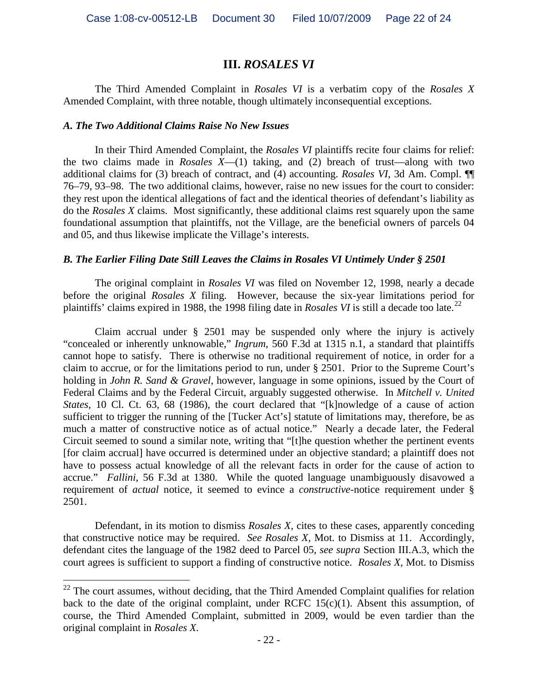# **III.** *ROSALES VI*

The Third Amended Complaint in *Rosales VI* is a verbatim copy of the *Rosales X* Amended Complaint, with three notable, though ultimately inconsequential exceptions.

## *A. The Two Additional Claims Raise No New Issues*

In their Third Amended Complaint, the *Rosales VI* plaintiffs recite four claims for relief: the two claims made in *Rosales X*—(1) taking, and (2) breach of trust—along with two additional claims for (3) breach of contract, and (4) accounting. *Rosales VI*, 3d Am. Compl. ¶¶ 76–79, 93–98. The two additional claims, however, raise no new issues for the court to consider: they rest upon the identical allegations of fact and the identical theories of defendant's liability as do the *Rosales X* claims. Most significantly, these additional claims rest squarely upon the same foundational assumption that plaintiffs, not the Village, are the beneficial owners of parcels 04 and 05, and thus likewise implicate the Village's interests.

## *B. The Earlier Filing Date Still Leaves the Claims in Rosales VI Untimely Under § 2501*

The original complaint in *Rosales VI* was filed on November 12, 1998, nearly a decade before the original *Rosales X* filing. However, because the six-year limitations period for plaintiffs' claims expired in 1988, the 1998 filing date in *Rosales VI* is still a decade too late.<sup>[22](#page-21-0)</sup>

Claim accrual under § 2501 may be suspended only where the injury is actively "concealed or inherently unknowable," *Ingrum*, 560 F.3d at 1315 n.1, a standard that plaintiffs cannot hope to satisfy. There is otherwise no traditional requirement of notice, in order for a claim to accrue, or for the limitations period to run, under § 2501. Prior to the Supreme Court's holding in *John R. Sand & Gravel*, however, language in some opinions, issued by the Court of Federal Claims and by the Federal Circuit, arguably suggested otherwise. In *Mitchell v. United States*, 10 Cl. Ct. 63, 68 (1986), the court declared that "[k]nowledge of a cause of action sufficient to trigger the running of the [Tucker Act's] statute of limitations may, therefore, be as much a matter of constructive notice as of actual notice." Nearly a decade later, the Federal Circuit seemed to sound a similar note, writing that "[t]he question whether the pertinent events [for claim accrual] have occurred is determined under an objective standard; a plaintiff does not have to possess actual knowledge of all the relevant facts in order for the cause of action to accrue." *Fallini*, 56 F.3d at 1380. While the quoted language unambiguously disavowed a requirement of *actual* notice, it seemed to evince a *constructive*-notice requirement under § 2501.

Defendant, in its motion to dismiss *Rosales X*, cites to these cases, apparently conceding that constructive notice may be required. *See Rosales X*, Mot. to Dismiss at 11. Accordingly, defendant cites the language of the 1982 deed to Parcel 05, *see supra* Section III.A.3, which the court agrees is sufficient to support a finding of constructive notice. *Rosales X*, Mot. to Dismiss

<span id="page-21-0"></span><sup>&</sup>lt;sup>22</sup> The court assumes, without deciding, that the Third Amended Complaint qualifies for relation back to the date of the original complaint, under RCFC  $15(c)(1)$ . Absent this assumption, of course, the Third Amended Complaint, submitted in 2009, would be even tardier than the original complaint in *Rosales X*.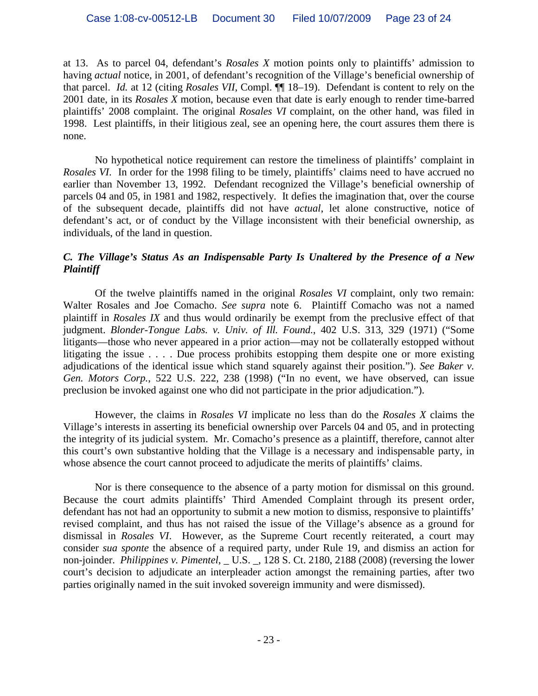at 13. As to parcel 04, defendant's *Rosales X* motion points only to plaintiffs' admission to having *actual* notice, in 2001, of defendant's recognition of the Village's beneficial ownership of that parcel. *Id.* at 12 (citing *Rosales VII*, Compl. ¶¶ 18–19). Defendant is content to rely on the 2001 date, in its *Rosales X* motion, because even that date is early enough to render time-barred plaintiffs' 2008 complaint. The original *Rosales VI* complaint, on the other hand, was filed in 1998. Lest plaintiffs, in their litigious zeal, see an opening here, the court assures them there is none.

No hypothetical notice requirement can restore the timeliness of plaintiffs' complaint in *Rosales VI*. In order for the 1998 filing to be timely, plaintiffs' claims need to have accrued no earlier than November 13, 1992. Defendant recognized the Village's beneficial ownership of parcels 04 and 05, in 1981 and 1982, respectively. It defies the imagination that, over the course of the subsequent decade, plaintiffs did not have *actual*, let alone constructive, notice of defendant's act, or of conduct by the Village inconsistent with their beneficial ownership, as individuals, of the land in question.

## *C. The Village's Status As an Indispensable Party Is Unaltered by the Presence of a New Plaintiff*

Of the twelve plaintiffs named in the original *Rosales VI* complaint, only two remain: Walter Rosales and Joe Comacho. *See supra* note 6. Plaintiff Comacho was not a named plaintiff in *Rosales IX* and thus would ordinarily be exempt from the preclusive effect of that judgment. *Blonder-Tongue Labs. v. Univ. of Ill. Found.*, 402 U.S. 313, 329 (1971) ("Some litigants—those who never appeared in a prior action—may not be collaterally estopped without litigating the issue . . . . Due process prohibits estopping them despite one or more existing adjudications of the identical issue which stand squarely against their position."). *See Baker v. Gen. Motors Corp.*, 522 U.S. 222, 238 (1998) ("In no event, we have observed, can issue preclusion be invoked against one who did not participate in the prior adjudication.").

However, the claims in *Rosales VI* implicate no less than do the *Rosales X* claims the Village's interests in asserting its beneficial ownership over Parcels 04 and 05, and in protecting the integrity of its judicial system. Mr. Comacho's presence as a plaintiff, therefore, cannot alter this court's own substantive holding that the Village is a necessary and indispensable party, in whose absence the court cannot proceed to adjudicate the merits of plaintiffs' claims.

Nor is there consequence to the absence of a party motion for dismissal on this ground. Because the court admits plaintiffs' Third Amended Complaint through its present order, defendant has not had an opportunity to submit a new motion to dismiss, responsive to plaintiffs' revised complaint, and thus has not raised the issue of the Village's absence as a ground for dismissal in *Rosales VI*. However, as the Supreme Court recently reiterated, a court may consider *sua sponte* the absence of a required party, under Rule 19, and dismiss an action for non-joinder. *Philippines v. Pimentel*[, \\_ U.S. \\_, 128 S. Ct. 2180, 2188 \(2008\)](http://www.lexis.com/research/xlink?app=00075&view=full&searchtype=get&search=128+S.+Ct.+2191) (reversing the lower court's decision to adjudicate an interpleader action amongst the remaining parties, after two parties originally named in the suit invoked sovereign immunity and were dismissed).